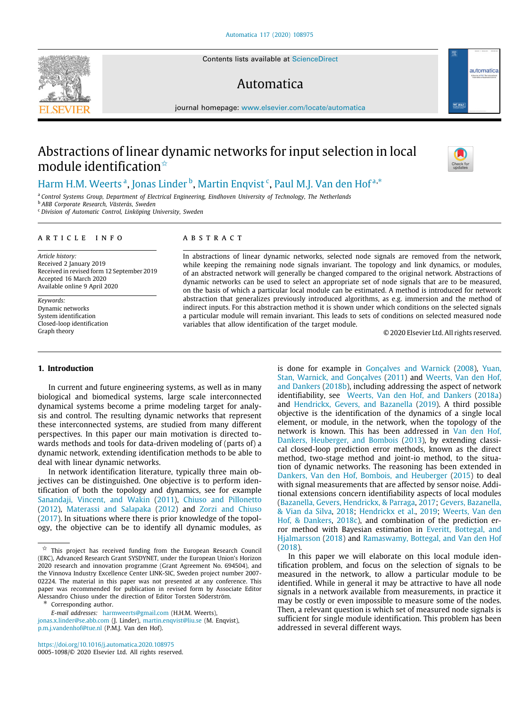Contents lists available at [ScienceDirect](http://www.elsevier.com/locate/automatica)

# Automatica

journal homepage: [www.elsevier.com/locate/automatica](http://www.elsevier.com/locate/automatica)

# Abstractions of linear dynamic networks for input selection in local module identification<sup>☆</sup>

[Harm](#page-12-0) [H.M.](#page-12-0) [Weerts](#page-12-0) <sup>[a](#page-0-1)</sup>, [Jonas](#page-12-1) [Linder](#page-12-1) <sup>[b](#page-0-2)</sup>, [Martin](#page-12-2) [Enqvist](#page-12-2) <sup>[c](#page-0-3)</sup>, [Paul](#page-12-3) [M.J.](#page-12-3) [Van den Hof](#page-12-3) <sup>a,\*</sup>

<span id="page-0-1"></span><sup>a</sup> *Control Systems Group, Department of Electrical Engineering, Eindhoven University of Technology, The Netherlands* <sup>b</sup> *ABB Corporate Research, Västerås, Sweden*

<span id="page-0-3"></span><span id="page-0-2"></span><sup>c</sup> *Division of Automatic Control, Linköping University, Sweden*

#### ARTICLE INFO

*Article history:* Received 2 January 2019 Received in revised form 12 September 2019 Accepted 16 March 2020 Available online 9 April 2020

*Keywords:* Dynamic networks System identification Closed-loop identification Graph theory

# a b s t r a c t

In abstractions of linear dynamic networks, selected node signals are removed from the network, while keeping the remaining node signals invariant. The topology and link dynamics, or modules, of an abstracted network will generally be changed compared to the original network. Abstractions of dynamic networks can be used to select an appropriate set of node signals that are to be measured, on the basis of which a particular local module can be estimated. A method is introduced for network abstraction that generalizes previously introduced algorithms, as e.g. immersion and the method of indirect inputs. For this abstraction method it is shown under which conditions on the selected signals a particular module will remain invariant. This leads to sets of conditions on selected measured node variables that allow identification of the target module.

© 2020 Elsevier Ltd. All rights reserved.

# **1. Introduction**

In current and future engineering systems, as well as in many biological and biomedical systems, large scale interconnected dynamical systems become a prime modeling target for analysis and control. The resulting dynamic networks that represent these interconnected systems, are studied from many different perspectives. In this paper our main motivation is directed towards methods and tools for data-driven modeling of (parts of) a dynamic network, extending identification methods to be able to deal with linear dynamic networks.

In network identification literature, typically three main objectives can be distinguished. One objective is to perform identification of both the topology and dynamics, see for example [Sanandaji, Vincent, and Wakin](#page-12-4) [\(2011\)](#page-12-4), [Chiuso and Pillonetto](#page-12-5) ([2012\)](#page-12-5), [Materassi and Salapaka](#page-12-6) ([2012\)](#page-12-6) and [Zorzi and Chiuso](#page-12-7) ([2017\)](#page-12-7). In situations where there is prior knowledge of the topology, the objective can be to identify all dynamic modules, as

<span id="page-0-4"></span>Corresponding author.

*E-mail addresses:* [harmweerts@gmail.com](mailto:harmweerts@gmail.com) (H.H.M. Weerts), [jonas.x.linder@se.abb.com](mailto:jonas.x.linder@se.abb.com) (J. Linder), [martin.enqvist@liu.se](mailto:martin.enqvist@liu.se) (M. Enqvist), [p.m.j.vandenhof@tue.nl](mailto:p.m.j.vandenhof@tue.nl) (P.M.J. Van den Hof).

<https://doi.org/10.1016/j.automatica.2020.108975> 0005-1098/© 2020 Elsevier Ltd. All rights reserved. is done for example in [Gonçalves and Warnick](#page-12-8) [\(2008\)](#page-12-8), [Yuan,](#page-12-9) [Stan, Warnick, and Gonçalves](#page-12-9) ([2011\)](#page-12-9) and [Weerts, Van den Hof,](#page-12-10) [and Dankers](#page-12-10) [\(2018b](#page-12-10)), including addressing the aspect of network identifiability, see [Weerts, Van den Hof, and Dankers](#page-12-11) [\(2018a\)](#page-12-11) and [Hendrickx, Gevers, and Bazanella](#page-12-12) [\(2019](#page-12-12)). A third possible objective is the identification of the dynamics of a single local element, or module, in the network, when the topology of the network is known. This has been addressed in [Van den Hof,](#page-12-13) [Dankers, Heuberger, and Bombois](#page-12-13) [\(2013](#page-12-13)), by extending classical closed-loop prediction error methods, known as the direct method, two-stage method and joint-io method, to the situation of dynamic networks. The reasoning has been extended in [Dankers, Van den Hof, Bombois, and Heuberger](#page-12-14) ([2015](#page-12-14)) to deal with signal measurements that are affected by sensor noise. Additional extensions concern identifiability aspects of local modules ([Bazanella, Gevers, Hendrickx, & Parraga,](#page-12-15) [2017;](#page-12-15) [Gevers, Bazanella,](#page-12-16) [& Vian da Silva](#page-12-16), [2018;](#page-12-16) [Hendrickx et al.](#page-12-12), [2019;](#page-12-12) [Weerts, Van den](#page-12-17) [Hof, & Dankers](#page-12-17), [2018c](#page-12-17)), and combination of the prediction error method with Bayesian estimation in [Everitt, Bottegal, and](#page-12-18) [Hjalmarsson](#page-12-18) [\(2018\)](#page-12-18) and [Ramaswamy, Bottegal, and Van den Hof](#page-12-19) ([2018\)](#page-12-19).

In this paper we will elaborate on this local module identification problem, and focus on the selection of signals to be measured in the network, to allow a particular module to be identified. While in general it may be attractive to have all node signals in a network available from measurements, in practice it may be costly or even impossible to measure some of the nodes. Then, a relevant question is which set of measured node signals is sufficient for single module identification. This problem has been addressed in several different ways.





automatic

<span id="page-0-0"></span> $\overrightarrow{x}$  This project has received funding from the European Research Council (ERC), Advanced Research Grant SYSDYNET, under the European Union's Horizon 2020 research and innovation programme (Grant Agreement No. 694504), and the Vinnova Industry Excellence Center LINK-SIC, Sweden project number 2007- 02224. The material in this paper was not presented at any conference. This paper was recommended for publication in revised form by Associate Editor Alessandro Chiuso under the direction of Editor Torsten Söderström.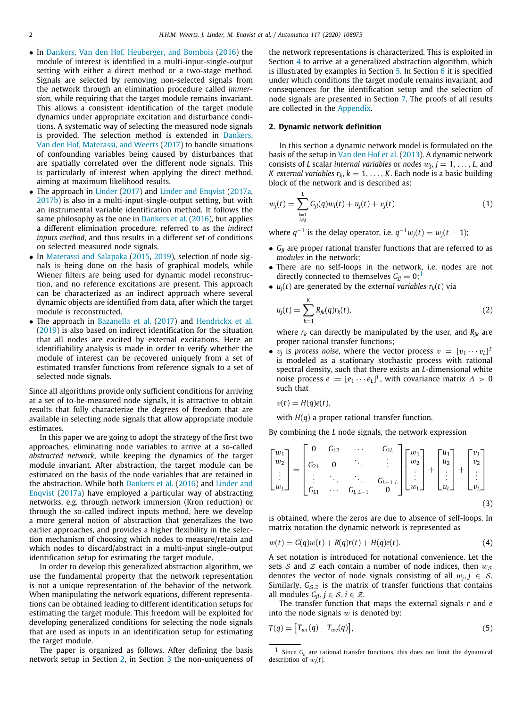- In [Dankers, Van den Hof, Heuberger, and Bombois](#page-12-20) ([2016\)](#page-12-20) the module of interest is identified in a multi-input-single-output setting with either a direct method or a two-stage method. Signals are selected by removing non-selected signals from the network through an elimination procedure called *immersion*, while requiring that the target module remains invariant. This allows a consistent identification of the target module dynamics under appropriate excitation and disturbance conditions. A systematic way of selecting the measured node signals is provided. The selection method is extended in [Dankers,](#page-12-21) [Van den Hof, Materassi, and Weerts](#page-12-21) [\(2017\)](#page-12-21) to handle situations of confounding variables being caused by disturbances that are spatially correlated over the different node signals. This is particularly of interest when applying the direct method, aiming at maximum likelihood results.
- The approach in [Linder](#page-12-22) [\(2017\)](#page-12-22) and [Linder and Enqvist](#page-12-23) [\(2017a,](#page-12-23) [2017b](#page-12-24)) is also in a multi-input-single-output setting, but with an instrumental variable identification method. It follows the same philosophy as the one in [Dankers et al.](#page-12-20) [\(2016\)](#page-12-20), but applies a different elimination procedure, referred to as the *indirect inputs method*, and thus results in a different set of conditions on selected measured node signals.
- In [Materassi and Salapaka](#page-12-25) ([2015](#page-12-25), [2019](#page-12-26)), selection of node signals is being done on the basis of graphical models, while Wiener filters are being used for dynamic model reconstruction, and no reference excitations are present. This approach can be characterized as an indirect approach where several dynamic objects are identified from data, after which the target module is reconstructed.
- The approach in [Bazanella et al.](#page-12-15) ([2017\)](#page-12-15) and [Hendrickx et al.](#page-12-12) [\(2019\)](#page-12-12) is also based on indirect identification for the situation that all nodes are excited by external excitations. Here an identifiability analysis is made in order to verify whether the module of interest can be recovered uniquely from a set of estimated transfer functions from reference signals to a set of selected node signals.

Since all algorithms provide only sufficient conditions for arriving at a set of to-be-measured node signals, it is attractive to obtain results that fully characterize the degrees of freedom that are available in selecting node signals that allow appropriate module estimates.

In this paper we are going to adopt the strategy of the first two approaches, eliminating node variables to arrive at a so-called *abstracted network*, while keeping the dynamics of the target module invariant. After abstraction, the target module can be estimated on the basis of the node variables that are retained in the abstraction. While both [Dankers et al.](#page-12-20) [\(2016\)](#page-12-20) and [Linder and](#page-12-23) [Enqvist](#page-12-23) ([2017a](#page-12-23)) have employed a particular way of abstracting networks, e.g. through network immersion (Kron reduction) or through the so-called indirect inputs method, here we develop a more general notion of abstraction that generalizes the two earlier approaches, and provides a higher flexibility in the selection mechanism of choosing which nodes to measure/retain and which nodes to discard/abstract in a multi-input single-output identification setup for estimating the target module.

In order to develop this generalized abstraction algorithm, we use the fundamental property that the network representation is not a unique representation of the behavior of the network. When manipulating the network equations, different representations can be obtained leading to different identification setups for estimating the target module. This freedom will be exploited for developing generalized conditions for selecting the node signals that are used as inputs in an identification setup for estimating the target module.

The paper is organized as follows. After defining the basis network setup in Section [2,](#page-1-0) in Section [3](#page-2-0) the non-uniqueness of the network representations is characterized. This is exploited in Section [4](#page-3-0) to arrive at a generalized abstraction algorithm, which is illustrated by examples in Section  $5$ . In Section  $6$  it is specified under which conditions the target module remains invariant, and consequences for the identification setup and the selection of node signals are presented in Section [7](#page-8-0). The proofs of all results are collected in the [Appendix.](#page-10-0)

## **2. Dynamic network definition**

<span id="page-1-0"></span>In this section a dynamic network model is formulated on the basis of the setup in [Van den Hof et al.](#page-12-13) ([2013\)](#page-12-13). A dynamic network consists of *L* scalar *internal variables* or *nodes*  $w_j$ ,  $j = 1, \ldots, L$ , and *K* external variables  $r_k$ ,  $k = 1, \ldots, K$ . Each node is a basic building block of the network and is described as:

<span id="page-1-2"></span>
$$
w_j(t) = \sum_{\substack{l=1\\l \neq j}}^L G_{jl}(q)w_l(t) + u_j(t) + v_j(t)
$$
\n(1)

where  $q^{-1}$  is the delay operator, i.e.  $q^{-1}w_j(t) = w_j(t-1)$ ;

- *Gjl* are proper rational transfer functions that are referred to as *modules* in the network;
- There are no self-loops in the network, i.e. nodes are not directly connected to themselves  $G_{ji} = 0;$ <sup>[1](#page-1-1)</sup>
- $u_i(t)$  are generated by the *external variables*  $r_k(t)$  via

<span id="page-1-1"></span>
$$
u_j(t) = \sum_{k=1}^{K} R_{jk}(q) r_k(t),
$$
\n(2)

where  $r_k$  can directly be manipulated by the user, and  $R_{ik}$  are proper rational transfer functions;

•  $v_j$  is process noise, where the vector process  $v = [v_1 \cdots v_L]^T$ is modeled as a stationary stochastic process with rational spectral density, such that there exists an *L*-dimensional white noise process  $e := [e_1 \cdots e_L]^T$ , with covariance matrix  $\Lambda > 0$ such that

$$
v(t) = H(q)e(t),
$$

with *H*(*q*) a proper rational transfer function.

By combining the *L* node signals, the network expression

$$
\begin{bmatrix} w_1 \\ w_2 \\ \vdots \\ w_L \end{bmatrix} = \begin{bmatrix} 0 & G_{12} & \cdots & G_{1L} \\ G_{21} & 0 & \ddots & \vdots \\ \vdots & \ddots & \ddots & G_{L-1} \\ G_{L1} & \cdots & G_{L} & L-1 & 0 \end{bmatrix} \begin{bmatrix} w_1 \\ w_2 \\ \vdots \\ w_L \end{bmatrix} + \begin{bmatrix} u_1 \\ u_2 \\ \vdots \\ u_L \end{bmatrix} + \begin{bmatrix} v_1 \\ v_2 \\ \vdots \\ v_L \end{bmatrix}
$$
 (3)

is obtained, where the zeros are due to absence of self-loops. In matrix notation the dynamic network is represented as

$$
w(t) = G(q)w(t) + R(q)r(t) + H(q)e(t).
$$
 (4)

<span id="page-1-3"></span>A set notation is introduced for notational convenience. Let the sets S and Z each contain a number of node indices, then  $w_s$ denotes the vector of node signals consisting of all  $w_i, j \in S$ . Similarly,  $G_{\mathcal{SZ}}$  is the matrix of transfer functions that contains all modules  $G_{ii}$ ,  $j \in S$ ,  $i \in \mathcal{Z}$ .

The transfer function that maps the external signals *r* and *e* into the node signals  $w$  is denoted by:

$$
T(q) = \begin{bmatrix} T_{wr}(q) & T_{we}(q) \end{bmatrix},\tag{5}
$$

<sup>1</sup> Since *<sup>G</sup>jj* are rational transfer functions, this does not limit the dynamical description of  $w_i(t)$ .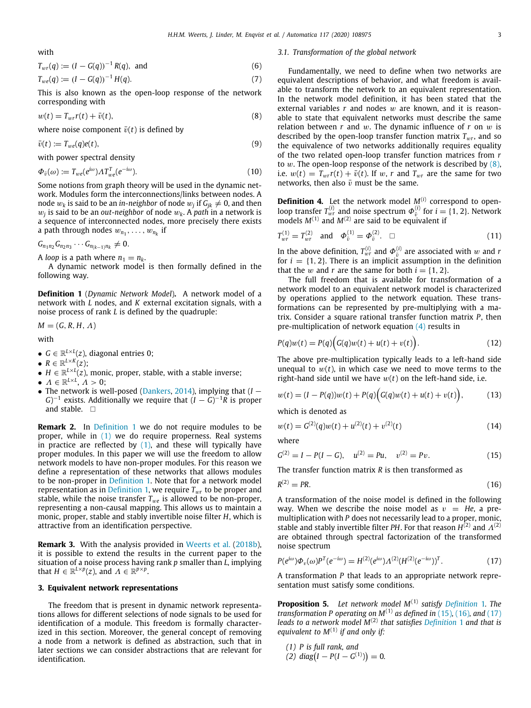with

$$
T_{wr}(q) := (I - G(q))^{-1} R(q), \text{ and}
$$
  
\n
$$
T_{we}(q) := (I - G(q))^{-1} H(q).
$$
\n(6)

This is also known as the open-loop response of the network corresponding with

$$
w(t) = T_{wr}r(t) + \bar{v}(t),
$$
\n(8)

where noise component  $\bar{v}(t)$  is defined by

$$
\bar{v}(t) := T_{we}(q)e(t),\tag{9}
$$

with power spectral density

$$
\Phi_{\bar{v}}(\omega) := T_{we}(e^{i\omega}) \Lambda T_{we}^T(e^{-i\omega}). \tag{10}
$$

Some notions from graph theory will be used in the dynamic network. Modules form the interconnections/links between nodes. A node  $w_k$  is said to be an *in-neighbor* of node  $w_j$  if  $G_{jk} \neq 0$ , and then w*j* is said to be an *out-neighbor* of node w*k*. A *path* in a network is a sequence of interconnected nodes, more precisely there exists a path through nodes  $w_{n_1}, \ldots, w_{n_k}$  if

$$
G_{n_1n_2}G_{n_2n_3}\cdots G_{n_{(k-1)}n_k}\neq 0.
$$

A *loop* is a path where  $n_1 = n_k$ .

<span id="page-2-1"></span>A dynamic network model is then formally defined in the following way.

**Definition 1** (*Dynamic Network Model*)**.** A network model of a network with *L* nodes, and *K* external excitation signals, with a noise process of rank *L* is defined by the quadruple:

$$
M=(G,R,H,\Lambda)
$$

with

- $G \in \mathbb{R}^{L \times L}(z)$ , diagonal entries 0;
- $R \in \mathbb{R}^{L \times K}(z)$ ;
- $H \in \mathbb{R}^{L \times L}(z)$ , monic, proper, stable, with a stable inverse;
- $\bullet$   $\Lambda \in \mathbb{R}^{L \times L}$ ,  $\Lambda > 0$ ;
- The network is well-posed [\(Dankers](#page-12-27), [2014](#page-12-27)), implying that (*I* − *G*)<sup>-1</sup> exists. Additionally we require that  $(I - G)^{-1}R$  is proper and stable.  $□$

**Remark 2.** In [Definition](#page-2-1) [1](#page-2-1) we do not require modules to be proper, while in ([1](#page-1-2)) we do require properness. Real systems in practice are reflected by  $(1)$ , and these will typically have proper modules. In this paper we will use the freedom to allow network models to have non-proper modules. For this reason we define a representation of these networks that allows modules to be non-proper in [Definition](#page-2-1) [1.](#page-2-1) Note that for a network model representation as in [Definition](#page-2-1) [1,](#page-2-1) we require  $T_{wr}$  to be proper and stable, while the noise transfer  $T_{we}$  is allowed to be non-proper, representing a non-causal mapping. This allows us to maintain a monic, proper, stable and stably invertible noise filter *H*, which is attractive from an identification perspective.

**Remark 3.** With the analysis provided in [Weerts et al.](#page-12-10) ([2018b\)](#page-12-10), it is possible to extend the results in the current paper to the situation of a noise process having rank *p* smaller than *L*, implying that  $H \in \mathbb{R}^{L \times p}(z)$ , and  $\Lambda \in \mathbb{R}^{p \times p}$ .

## **3. Equivalent network representations**

<span id="page-2-0"></span>The freedom that is present in dynamic network representations allows for different selections of node signals to be used for identification of a module. This freedom is formally characterized in this section. Moreover, the general concept of removing a node from a network is defined as abstraction, such that in later sections we can consider abstractions that are relevant for identification.

#### *3.1. Transformation of the global network*

<span id="page-2-2"></span>Fundamentally, we need to define when two networks are equivalent descriptions of behavior, and what freedom is available to transform the network to an equivalent representation. In the network model definition, it has been stated that the external variables *r* and nodes w are known, and it is reasonable to state that equivalent networks must describe the same relation between *r* and w. The dynamic influence of *r* on w is described by the open-loop transfer function matrix  $T_{wr}$ , and so the equivalence of two networks additionally requires equality of the two related open-loop transfer function matrices from *r* to  $w$ . The open-loop response of the network is described by  $(8)$  $(8)$ , i.e.  $w(t) = T_{wr}r(t) + \bar{v}(t)$ . If w, r and  $T_{wr}$  are the same for two networks, then also  $\bar{v}$  must be the same.

**Definition 4.** Let the network model  $M^{(i)}$  correspond to openloop transfer  $T_{wr}^{(i)}$  and noise spectrum  $\Phi_{\bar{v}}^{(i)}$  for  $i = \{1, 2\}$ . Network models  $M^{(1)}$  and  $M^{(2)}$  are said to be equivalent if

$$
T_{wr}^{(1)} = T_{wr}^{(2)} \quad \text{and} \quad \Phi_{\bar{v}}^{(1)} = \Phi_{\bar{v}}^{(2)}. \quad \Box \tag{11}
$$

In the above definition,  $T_{wr}^{(i)}$  and  $\Phi_{\bar{v}}^{(i)}$  are associated with w and *r* for  $i = \{1, 2\}$ . There is an implicit assumption in the definition that the *w* and *r* are the same for both  $i = \{1, 2\}$ .

The full freedom that is available for transformation of a network model to an equivalent network model is characterized by operations applied to the network equation. These transformations can be represented by pre-multiplying with a matrix. Consider a square rational transfer function matrix *P*, then pre-multiplication of network equation ([4](#page-1-3)) results in

$$
P(q)w(t) = P(q)\Big(G(q)w(t) + u(t) + v(t)\Big). \tag{12}
$$

The above pre-multiplication typically leads to a left-hand side unequal to  $w(t)$ , in which case we need to move terms to the right-hand side until we have  $w(t)$  on the left-hand side, i.e.

$$
w(t) = (I - P(q))w(t) + P(q)\Big(G(q)w(t) + u(t) + v(t)\Big), \tag{13}
$$

which is denoted as

$$
w(t) = G^{(2)}(q)w(t) + u^{(2)}(t) + v^{(2)}(t)
$$
\n(14)

where  $G^{(2)} = I - P(I - G), \quad u^{(2)} = Pu, \quad v^{(2)} = Pv.$  (15)

<span id="page-2-3"></span>The transfer function matrix *R* is then transformed as

<span id="page-2-4"></span>
$$
R^{(2)} = PR.\tag{16}
$$

A transformation of the noise model is defined in the following way. When we describe the noise model as  $v = He$ , a premultiplication with *P* does not necessarily lead to a proper, monic, stable and stably invertible filter *PH*. For that reason  $H^{(2)}$  and  $\Lambda^{(2)}$ are obtained through spectral factorization of the transformed noise spectrum

<span id="page-2-5"></span>
$$
P(e^{i\omega})\Phi_v(\omega)P^T(e^{-i\omega}) = H^{(2)}(e^{i\omega})\Lambda^{(2)}(H^{(2)}(e^{-i\omega}))^T.
$$
 (17)

A transformation *P* that leads to an appropriate network representation must satisfy some conditions.

<span id="page-2-6"></span>**Proposition 5.** *Let network model M*(1) *satisfy [Definition](#page-2-1)* [1](#page-2-1)*. The transformation P operating on*  $M^{(1)}$  *as defined in [\(15](#page-2-3)), [\(16\)](#page-2-4), and ([17\)](#page-2-5) leads to a network model M*(2) *that satisfies [Definition](#page-2-1)* [1](#page-2-1) *and that is equivalent to*  $M^{(1)}$  *if and only if:* 

(1) *P* is full rank, and  
(2) diag(
$$
I - P(I - G^{(1)})
$$
) = 0.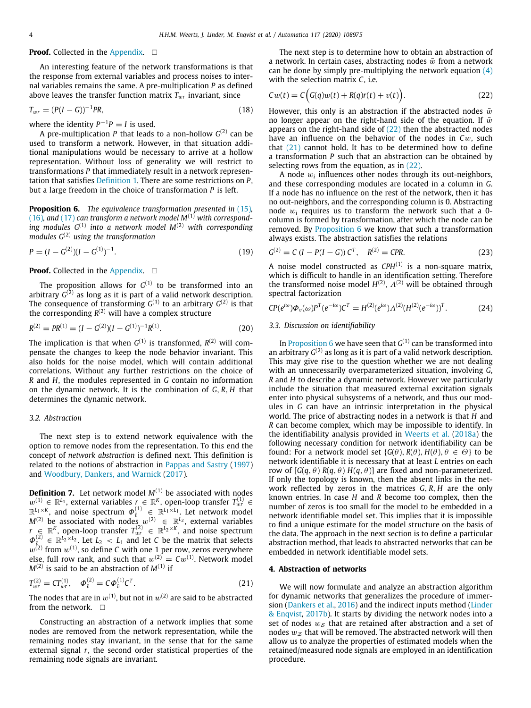## **Proof.** Collected in the [Appendix](#page-10-0). □

An interesting feature of the network transformations is that the response from external variables and process noises to internal variables remains the same. A pre-multiplication *P* as defined above leaves the transfer function matrix  $T_{wr}$  invariant, since

$$
T_{wr} = (P(I - G))^{-1}PR,
$$
\n(18)

where the identity  $P^{-1}P = I$  is used.

A pre-multiplication *P* that leads to a non-hollow *G* (2) can be used to transform a network. However, in that situation additional manipulations would be necessary to arrive at a hollow representation. Without loss of generality we will restrict to transformations *P* that immediately result in a network representation that satisfies [Definition](#page-2-1) [1.](#page-2-1) There are some restrictions on *P*, but a large freedom in the choice of transformation *P* is left.

**Proposition 6.** *The equivalence transformation presented in* [\(15\)](#page-2-3)*,* ([16](#page-2-4)), and [\(17\)](#page-2-5) can transform a network model  $M^{(1)}$  with correspond*ing modules G*(1) *into a network model M*(2) *with corresponding modules G*(2) *using the transformation*

$$
P = (I - G^{(2)})(I - G^{(1)})^{-1}.
$$
\n(19)

**Proof.** Collected in the [Appendix](#page-10-0). □

The proposition allows for  $G^{(1)}$  to be transformed into an arbitrary G<sup>(2)</sup> as long as it is part of a valid network description. The consequence of transforming  $G^{(1)}$  to an arbitrary  $G^{(2)}$  is that the corresponding  $R^{(2)}$  will have a complex structure

$$
R^{(2)} = PR^{(1)} = (I - G^{(2)})(I - G^{(1)})^{-1}R^{(1)}.
$$
\n(20)

The implication is that when  $G^{(1)}$  is transformed,  $R^{(2)}$  will compensate the changes to keep the node behavior invariant. This also holds for the noise model, which will contain additional correlations. Without any further restrictions on the choice of *R* and *H*, the modules represented in *G* contain no information on the dynamic network. It is the combination of *G*, *R*, *H* that determines the dynamic network.

## *3.2. Abstraction*

The next step is to extend network equivalence with the option to remove nodes from the representation. To this end the concept of *network abstraction* is defined next. This definition is related to the notions of abstraction in [Pappas and Sastry](#page-12-28) ([1997\)](#page-12-28) and [Woodbury, Dankers, and Warnick](#page-12-29) [\(2017\)](#page-12-29).

**Definition 7.** Let network model  $M^{(1)}$  be associated with nodes  $w^{(1)} \in \mathbb{R}^{L_1}$ , external variables  $r \in \mathbb{R}^K$ , open-loop transfer  $T_{wr}^{(1)} \in$  $\mathbb{R}^{L_1 \times K}$ , and noise spectrum  $\Phi_{\bar{v}}^{(1)} \in \mathbb{R}^{L_1 \times L_1}$ . Let network model  $M^{(2)}$  be associated with nodes  $w^{(2)}$   $\in$   $\mathbb{R}^{L_2}$ , external variables *r* ∈  $\mathbb{R}^K$ , open-loop transfer  $T_{wr}^{(2)}$  ∈  $\mathbb{R}^{L_2 \times K}$ , and noise spectrum  $\Phi_{\bar{p}_0}^{(2)} \in \mathbb{R}^{L_2 \times L_2}$ . Let  $L_2 < L_1$  and let *C* be the matrix that selects  $w^{(2)}$  from  $w^{(1)}$ , so define *C* with one 1 per row, zeros everywhere else, full row rank, and such that  $w^{(2)} = Cw^{(1)}$ . Network model  $M^{(2)}$  is said to be an abstraction of  $M^{(1)}$  if

$$
T_{wr}^{(2)} = CT_{wr}^{(1)}, \quad \Phi_{\bar{v}}^{(2)} = C\Phi_{\bar{v}}^{(1)}C^{T}.
$$
\n(21)

The nodes that are in  $w^{(1)}$ , but not in  $w^{(2)}$  are said to be abstracted from the network.  $\square$ 

Constructing an abstraction of a network implies that some nodes are removed from the network representation, while the remaining nodes stay invariant, in the sense that for the same external signal *r*, the second order statistical properties of the remaining node signals are invariant.

The next step is to determine how to obtain an abstraction of a network. In certain cases, abstracting nodes  $\bar{w}$  from a network can be done by simply pre-multiplying the network equation  $(4)$  $(4)$ with the selection matrix *C*, i.e.

<span id="page-3-1"></span>
$$
Cw(t) = C\Big(G(q)w(t) + R(q)r(t) + v(t)\Big). \tag{22}
$$

However, this only is an abstraction if the abstracted nodes  $\bar{w}$ no longer appear on the right-hand side of the equation. If  $\bar{w}$ appears on the right-hand side of  $(22)$  $(22)$  then the abstracted nodes have an influence on the behavior of the nodes in *C*w, such that  $(21)$  $(21)$  cannot hold. It has to be determined how to define a transformation *P* such that an abstraction can be obtained by selecting rows from the equation, as in [\(22\)](#page-3-1).

<span id="page-3-3"></span>A node w*<sup>i</sup>* influences other nodes through its out-neighbors, and these corresponding modules are located in a column in *G*. If a node has no influence on the rest of the network, then it has no out-neighbors, and the corresponding column is 0. Abstracting node w*<sup>i</sup>* requires us to transform the network such that a 0 column is formed by transformation, after which the node can be removed. By [Proposition](#page-3-3) [6](#page-3-3) we know that such a transformation always exists. The abstraction satisfies the relations

$$
G^{(2)} = C (I - P(I - G)) CT, \quad R^{(2)} = CPR.
$$
 (23)

A noise model constructed as  $CPH^{(1)}$  is a non-square matrix, which is difficult to handle in an identification setting. Therefore the transformed noise model  $H^{(2)}$ ,  $\Lambda^{(2)}$  will be obtained through spectral factorization

$$
CP(e^{i\omega})\Phi_v(\omega)P^T(e^{-i\omega})C^T = H^{(2)}(e^{i\omega})\Lambda^{(2)}(H^{(2)}(e^{-i\omega}))^T.
$$
 (24)

## *3.3. Discussion on identifiability*

<span id="page-3-4"></span>In [Proposition](#page-3-3) [6](#page-3-3) we have seen that  $G<sup>(1)</sup>$  can be transformed into an arbitrary  $G^{(2)}$  as long as it is part of a valid network description. This may give rise to the question whether we are not dealing with an unnecessarily overparameterized situation, involving *G*, *R* and *H* to describe a dynamic network. However we particularly include the situation that measured external excitation signals enter into physical subsystems of a network, and thus our modules in *G* can have an intrinsic interpretation in the physical world. The price of abstracting nodes in a network is that *H* and *R* can become complex, which may be impossible to identify. In the identifiability analysis provided in [Weerts et al.](#page-12-11) ([2018a](#page-12-11)) the following necessary condition for network identifiability can be found: For a network model set  $\{G(\theta), R(\theta), H(\theta), \theta \in \Theta\}$  to be network identifiable it is necessary that at least *L* entries on each row of  $[G(q, \theta) R(q, \theta) H(q, \theta)]$  are fixed and non-parameterized. If only the topology is known, then the absent links in the network reflected by zeros in the matrices *G*, *R*, *H* are the only known entries. In case *H* and *R* become too complex, then the number of zeros is too small for the model to be embedded in a network identifiable model set. This implies that it is impossible to find a unique estimate for the model structure on the basis of the data. The approach in the next section is to define a particular abstraction method, that leads to abstracted networks that can be embedded in network identifiable model sets.

## **4. Abstraction of networks**

<span id="page-3-2"></span><span id="page-3-0"></span>We will now formulate and analyze an abstraction algorithm for dynamic networks that generalizes the procedure of immersion ([Dankers et al.,](#page-12-20) [2016](#page-12-20)) and the indirect inputs method [\(Linder](#page-12-24) [& Enqvist,](#page-12-24) [2017b](#page-12-24)). It starts by dividing the network nodes into a set of nodes  $w<sub>S</sub>$  that are retained after abstraction and a set of nodes  $w_z$  that will be removed. The abstracted network will then allow us to analyze the properties of estimated models when the retained/measured node signals are employed in an identification procedure.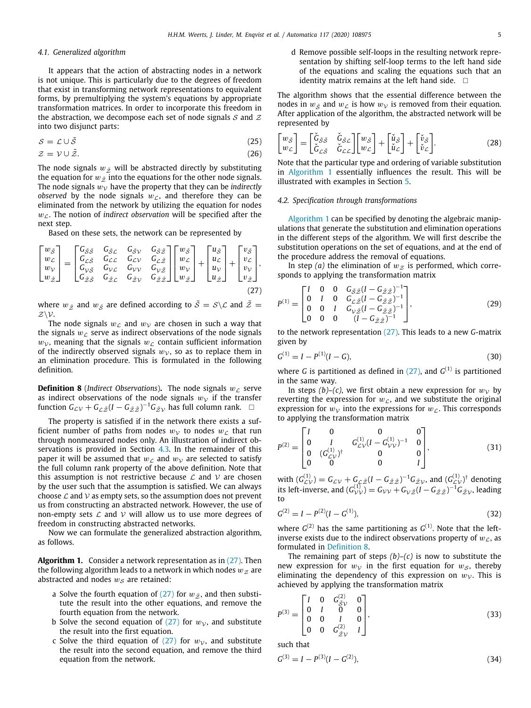## *4.1. Generalized algorithm*

It appears that the action of abstracting nodes in a network is not unique. This is particularly due to the degrees of freedom that exist in transforming network representations to equivalent forms, by premultiplying the system's equations by appropriate transformation matrices. In order to incorporate this freedom in the abstraction, we decompose each set of node signals  $S$  and  $\Sigma$ into two disjunct parts:

$$
S = \mathcal{L} \cup \tilde{S} \tag{25}
$$

$$
\mathcal{Z} = \mathcal{V} \cup \tilde{\mathcal{Z}}.\tag{26}
$$

The node signals  $w_{\tilde{Z}}$  will be abstracted directly by substituting the equation for  $w_{\tilde{\mathcal{Z}}}$  into the equations for the other node signals. The node signals  $w_{\nu}$  have the property that they can be *indirectly observed* by the node signals  $w_c$ , and therefore they can be eliminated from the network by utilizing the equation for nodes  $w_{\mathcal{L}}$ . The notion of *indirect observation* will be specified after the next step.

Based on these sets, the network can be represented by

$$
\begin{bmatrix} w_{\tilde{S}} \\ w_{L} \\ w_{\tilde{Z}} \end{bmatrix} = \begin{bmatrix} G_{\tilde{S}\tilde{S}} & G_{\tilde{S}L} & G_{\tilde{S}\nu} & G_{\tilde{S}\tilde{Z}} \\ G_{L\tilde{S}} & G_{L\tilde{L}} & G_{L\tilde{\nu}} & G_{L\tilde{Z}} \\ G_{V\tilde{S}} & G_{V\tilde{L}} & G_{V\tilde{\nu}} & G_{V\tilde{Z}} \\ G_{\tilde{Z}\tilde{S}} & G_{\tilde{Z}L} & G_{\tilde{Z}\nu} & G_{\tilde{Z}\tilde{Z}} \end{bmatrix} \begin{bmatrix} w_{\tilde{S}} \\ w_{L} \\ w_{V} \\ w_{\tilde{Z}} \end{bmatrix} + \begin{bmatrix} u_{\tilde{S}} \\ u_{L} \\ u_{\tilde{\nu}} \\ u_{\tilde{Z}} \end{bmatrix} + \begin{bmatrix} v_{\tilde{S}} \\ v_{L} \\ v_{\tilde{\nu}} \\ v_{\tilde{Z}} \end{bmatrix},
$$
\n
$$
(27)
$$

where  $w_{\tilde{Z}}$  and  $w_{\tilde{S}}$  are defined according to  $\tilde{S} = S \setminus \mathcal{L}$  and  $\tilde{Z} =$  $\mathcal{Z}\backslash\mathcal{V}$ .

The node signals  $w_{\mathcal{L}}$  and  $w_{\mathcal{V}}$  are chosen in such a way that the signals  $w<sub>C</sub>$  serve as indirect observations of the node signals  $w_{\mathcal{V}}$ , meaning that the signals  $w_{\mathcal{L}}$  contain sufficient information of the indirectly observed signals  $w<sub>V</sub>$ , so as to replace them in an elimination procedure. This is formulated in the following definition.

<span id="page-4-2"></span>**Definition 8** (*Indirect Observations*). The node signals  $w<sub>C</sub>$  serve as indirect observations of the node signals  $w<sub>V</sub>$  if the transfer function  $G_{\mathcal{L}\mathcal{V}} + G_{\mathcal{L}\tilde{\mathcal{Z}}}(I - G_{\tilde{\mathcal{Z}}\tilde{\mathcal{Z}}})^{-1}G_{\tilde{\mathcal{Z}}\mathcal{V}}$  has full column rank.  $\Box$ 

The property is satisfied if in the network there exists a sufficient number of paths from nodes  $w<sub>V</sub>$  to nodes  $w<sub>C</sub>$  that run through nonmeasured nodes only. An illustration of indirect ob-servations is provided in Section [4.3.](#page-5-0) In the remainder of this paper it will be assumed that  $w_{\mathcal{L}}$  and  $w_{\mathcal{V}}$  are selected to satisfy the full column rank property of the above definition. Note that this assumption is not restrictive because  $\mathcal L$  and  $\mathcal V$  are chosen by the user such that the assumption is satisfied. We can always choose  $\mathcal L$  and  $\mathcal V$  as empty sets, so the assumption does not prevent us from constructing an abstracted network. However, the use of non-empty sets  $\mathcal L$  and  $\mathcal V$  will allow us to use more degrees of freedom in constructing abstracted networks.

Now we can formulate the generalized abstraction algorithm, as follows.

<span id="page-4-1"></span>**Algorithm 1.** Consider a network representation as in ([27](#page-4-0)). Then the following algorithm leads to a network in which nodes  $w_{\mathcal{Z}}$  are abstracted and nodes  $w_{\mathcal{S}}$  are retained:

- a Solve the fourth equation of ([27](#page-4-0)) for  $w_{\tilde{\mathcal{Z}}}$ , and then substitute the result into the other equations, and remove the fourth equation from the network.
- b Solve the second equation of ([27](#page-4-0)) for  $w<sub>V</sub>$ , and substitute the result into the first equation.
- c Solve the third equation of [\(27\)](#page-4-0) for  $w<sub>V</sub>$ , and substitute the result into the second equation, and remove the third equation from the network.

d Remove possible self-loops in the resulting network representation by shifting self-loop terms to the left hand side of the equations and scaling the equations such that an identity matrix remains at the left hand side.  $\square$ 

The algorithm shows that the essential difference between the nodes in  $w_{\tilde{S}}$  and  $w_{\tilde{L}}$  is how  $w_{\tilde{V}}$  is removed from their equation. After application of the algorithm, the abstracted network will be represented by

<span id="page-4-3"></span>
$$
\begin{bmatrix} w_{\tilde{S}} \\ w_{\mathcal{L}} \end{bmatrix} = \begin{bmatrix} \check{G}_{\tilde{S}\tilde{S}} & \check{G}_{\tilde{S}\mathcal{L}} \\ \check{G}_{\mathcal{L}\tilde{S}} & \check{G}_{\mathcal{L}\mathcal{L}} \end{bmatrix} \begin{bmatrix} w_{\tilde{S}} \\ w_{\mathcal{L}} \end{bmatrix} + \begin{bmatrix} \check{u}_{\tilde{S}} \\ \check{u}_{\mathcal{L}} \end{bmatrix} + \begin{bmatrix} \check{v}_{\tilde{S}} \\ \check{v}_{\mathcal{L}} \end{bmatrix}.
$$
 (28)

Note that the particular type and ordering of variable substitution in [Algorithm](#page-4-1) [1](#page-4-1) essentially influences the result. This will be illustrated with examples in Section [5](#page-6-0).

## *4.2. Specification through transformations*

<span id="page-4-4"></span>[Algorithm](#page-4-1) [1](#page-4-1) can be specified by denoting the algebraic manipulations that generate the substitution and elimination operations in the different steps of the algorithm. We will first describe the substitution operations on the set of equations, and at the end of the procedure address the removal of equations.

In step (*a*) the elimination of  $w_z$  is performed, which corresponds to applying the transformation matrix

<span id="page-4-0"></span>
$$
P^{(1)} = \begin{bmatrix} I & 0 & 0 & G_{\tilde{S}\tilde{Z}}(I - G_{\tilde{Z}\tilde{Z}})^{-1} \\ 0 & I & 0 & G_{\mathcal{L}\tilde{Z}}(I - G_{\tilde{Z}\tilde{Z}})^{-1} \\ 0 & 0 & I & G_{\mathcal{V}\tilde{Z}}(I - G_{\tilde{Z}\tilde{Z}})^{-1} \\ 0 & 0 & 0 & (I - G_{\tilde{Z}\tilde{Z}})^{-1} \end{bmatrix},
$$
(29)

to the network representation ([27](#page-4-0)). This leads to a new *G*-matrix given by

$$
G^{(1)} = I - P^{(1)}(I - G),
$$
\n(30)

where *G* is partitioned as defined in  $(27)$  $(27)$ , and  $G<sup>(1)</sup>$  is partitioned in the same way.

In steps  $(b)$ – $(c)$ , we first obtain a new expression for  $w<sub>V</sub>$  by reverting the expression for  $w_c$ , and we substitute the original expression for  $w<sub>V</sub>$  into the expressions for  $w<sub>C</sub>$ . This corresponds to applying the transformation matrix

$$
P^{(2)} = \begin{bmatrix} I & 0 & 0 & 0 \\ 0 & I & G_{\mathcal{L}\mathcal{V}}^{(1)}(I - G_{\mathcal{V}\mathcal{V}}^{(1)})^{-1} & 0 \\ 0 & (G_{\mathcal{L}\mathcal{V}}^{(1)})^{\dagger} & 0 & 0 \\ 0 & 0 & 0 & I \end{bmatrix},
$$
(31)

with  $(G_{LV}^{(1)}) = G_{LV} + G_{\mathcal{L}\tilde{Z}}(I - G_{\tilde{Z}\tilde{Z}})^{-1}G_{\tilde{Z}V}$ , and  $(G_{LV}^{(1)})^{\dagger}$  denoting its left-inverse, and  $(G_{VV}^{(1)}) = G_{VV} + G_{VZ}(I - G_{\tilde{Z}\tilde{Z}})^{-1}G_{\tilde{Z}V}$ , leading to

$$
G^{(2)} = I - P^{(2)}(I - G^{(1)}),
$$
\n(32)

where  $G^{(2)}$  has the same partitioning as  $G^{(1)}$ . Note that the leftinverse exists due to the indirect observations property of  $w_c$ , as formulated in [Definition](#page-4-2) [8](#page-4-2).

The remaining part of steps *(b)–(c)* is now to substitute the new expression for  $w<sub>V</sub>$  in the first equation for  $w<sub>S</sub>$ , thereby eliminating the dependency of this expression on  $w_{\mathcal{V}}$ . This is achieved by applying the transformation matrix

$$
P^{(3)} = \begin{bmatrix} I & 0 & G_{\hat{\mathcal{S}}V}^{(2)} & 0 \\ 0 & I & 0 & 0 \\ 0 & 0 & I & 0 \\ 0 & 0 & G_{\hat{\mathcal{Z}}V}^{(2)} & I \end{bmatrix},
$$
(33)

such that

 $\vdash$ .

$$
G^{(3)} = I - P^{(3)}(I - G^{(2)}),
$$
\n(34)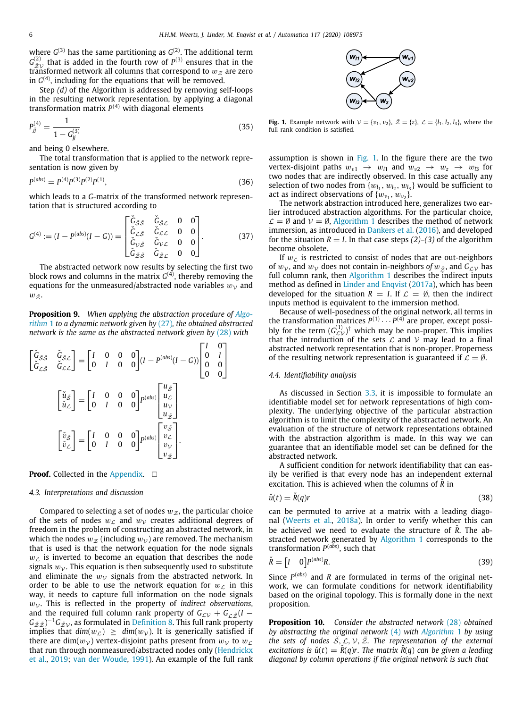where G<sup>(3)</sup> has the same partitioning as G<sup>(2)</sup>. The additional term  $G_{\tilde{Z}V}^{(2)}$  that is added in the fourth row of *P*<sup>(3)</sup> ensures that in the transformed network all columns that correspond to  $w_{\mathcal{Z}}$  are zero in  $G^{(4)}$ , including for the equations that will be removed.

Step *(d)* of the Algorithm is addressed by removing self-loops in the resulting network representation, by applying a diagonal transformation matrix *P* (4) with diagonal elements

$$
P_{jj}^{(4)} = \frac{1}{1 - G_{jj}^{(3)}}\tag{35}
$$

and being 0 elsewhere.

The total transformation that is applied to the network representation is now given by

$$
P^{(abs)} = P^{(4)}P^{(3)}P^{(2)}P^{(1)},\tag{36}
$$

which leads to a *G*-matrix of the transformed network representation that is structured according to

$$
G^{(4)} := (I - P^{(abs)}(I - G)) = \begin{bmatrix} \check{G}_{\tilde{S}\tilde{S}} & \check{G}_{\tilde{S}\mathcal{L}} & 0 & 0 \\ \check{G}_{\mathcal{L}\tilde{S}} & \check{G}_{\mathcal{L}\mathcal{L}} & 0 & 0 \\ \check{G}_{\mathcal{V}\tilde{S}} & \check{G}_{\mathcal{V}\mathcal{L}} & 0 & 0 \\ \check{G}_{\tilde{Z}\tilde{S}} & \check{G}_{\tilde{Z}\mathcal{L}} & 0 & 0 \end{bmatrix} . \tag{37}
$$

The abstracted network now results by selecting the first two block rows and columns in the matrix  $G^{(4)}$ , thereby removing the equations for the unmeasured/abstracted node variables  $w<sub>y</sub>$  and  $w_{\tilde{z}}$ .

<span id="page-5-3"></span>**Proposition 9.** *When applying the abstraction procedure of [Algo](#page-4-1)[rithm](#page-4-1)* [1](#page-4-1) *to a dynamic network given by* ([27](#page-4-0))*, the obtained abstracted network is the same as the abstracted network given by* ([28](#page-4-3)) *with*

$$
\begin{bmatrix}\n\check{G}_{\tilde{S}\tilde{S}} & \check{G}_{\tilde{S}\mathcal{L}} \\
\check{G}_{\mathcal{L}\tilde{S}} & \check{G}_{\mathcal{L}\mathcal{L}}\n\end{bmatrix} =\n\begin{bmatrix}\nI & 0 & 0 & 0 \\
0 & I & 0 & 0\n\end{bmatrix}\n(I - P^{(abs)}(I - G))\n\begin{bmatrix}\nI & 0 \\
0 & I \\
0 & 0\n\end{bmatrix}
$$
\n
$$
\begin{bmatrix}\n\check{u}_{\tilde{S}} \\
\check{u}_{\mathcal{L}}\n\end{bmatrix} =\n\begin{bmatrix}\nI & 0 & 0 & 0 \\
0 & I & 0 & 0\n\end{bmatrix}\nP^{(abs)}\n\begin{bmatrix}\nu_{\tilde{S}} \\
u_{\mathcal{L}} \\
u_{\tilde{z}}\n\end{bmatrix}
$$
\n
$$
\begin{bmatrix}\n\check{v}_{\tilde{S}} \\
\check{v}_{\mathcal{L}}\n\end{bmatrix} =\n\begin{bmatrix}\nI & 0 & 0 & 0 \\
0 & I & 0 & 0\n\end{bmatrix}\nP^{(abs)}\n\begin{bmatrix}\nv_{\tilde{S}} \\
v_{\mathcal{L}} \\
v_{\tilde{z}}\n\end{bmatrix}.
$$

**Proof.** Collected in the [Appendix](#page-10-0). □

## *4.3. Interpretations and discussion*

<span id="page-5-0"></span>Compared to selecting a set of nodes  $w_{\mathcal{Z}}$ , the particular choice of the sets of nodes  $w<sub>C</sub>$  and  $w<sub>V</sub>$  creates additional degrees of freedom in the problem of constructing an abstracted network, in which the nodes  $w_z$  (including  $w_y$ ) are removed. The mechanism that is used is that the network equation for the node signals  $w_{\mathcal{L}}$  is inverted to become an equation that describes the node signals  $w<sub>V</sub>$ . This equation is then subsequently used to substitute and eliminate the  $w<sub>V</sub>$  signals from the abstracted network. In order to be able to use the network equation for  $w_{\mathcal{L}}$  in this way, it needs to capture full information on the node signals  $w<sub>V</sub>$ . This is reflected in the property of *indirect* observations, and the required full column rank property of  $G_{\mathcal{L}\mathcal{V}} + G_{\mathcal{L}\tilde{\mathcal{Z}}}(I G_{\tilde{\mathcal{Z}}\tilde{\mathcal{Z}}})^{-1}G_{\tilde{\mathcal{Z}}\mathcal{V}}$ , as formulated in [Definition](#page-4-2) [8.](#page-4-2) This full rank property implies that  $dim(w_{\mathcal{L}}) \geq dim(w_{\mathcal{V}})$ . It is generically satisfied if there are dim( $w_{\mathcal{V}}$ ) vertex-disjoint paths present from  $w_{\mathcal{V}}$  to  $w_{\mathcal{L}}$ that run through nonmeasured/abstracted nodes only [\(Hendrickx](#page-12-12) [et al.](#page-12-12), [2019](#page-12-12); [van der Woude,](#page-12-30) [1991\)](#page-12-30). An example of the full rank



<span id="page-5-5"></span><span id="page-5-1"></span>**Fig. 1.** Example network with  $V = \{v_1, v_2\}$ ,  $\tilde{Z} = \{z\}$ ,  $\mathcal{L} = \{l_1, l_2, l_3\}$ , where the full rank condition is satisfied.

assumption is shown in [Fig.](#page-5-1) [1](#page-5-1). In the figure there are the two vertex-disjoint paths  $w_{v1} \rightarrow w_{l1}$  and  $w_{v2} \rightarrow w_{z} \rightarrow w_{l3}$  for two nodes that are indirectly observed. In this case actually any selection of two nodes from  ${w_{l_1}, w_{l_2}, w_{l_3}}$  would be sufficient to act as indirect observations of  $\{w_{v_1}, w_{v_2}\}$ .

The network abstraction introduced here, generalizes two earlier introduced abstraction algorithms. For the particular choice,  $\mathcal{L} = \emptyset$  and  $\mathcal{V} = \emptyset$ , [Algorithm](#page-4-1) [1](#page-4-1) describes the method of network immersion, as introduced in [Dankers et al.](#page-12-20) ([2016](#page-12-20)), and developed for the situation  $R = I$ . In that case steps  $(2)$ – $(3)$  of the algorithm become obsolete.

<span id="page-5-4"></span>If  $w<sub>c</sub>$  is restricted to consist of nodes that are out-neighbors of  $w_{\mathcal{V}}$ , and  $w_{\mathcal{V}}$  does not contain in-neighbors of  $w_{\tilde{\mathcal{Z}}}$ , and  $G_{\mathcal{L}\mathcal{V}}$  has full column rank, then [Algorithm](#page-4-1) [1](#page-4-1) describes the indirect inputs method as defined in [Linder and Enqvist](#page-12-23) [\(2017a\)](#page-12-23), which has been developed for the situation  $R = I$ . If  $\mathcal{L} = \emptyset$ , then the indirect inputs method is equivalent to the immersion method.

Because of well-posedness of the original network, all terms in the transformation matrices  $P^{(1)} \cdots P^{(4)}$  are proper, except possibly for the term  $(G_{CV}^{(1)})^{\dagger}$  which may be non-proper. This implies that the introduction of the sets  $\mathcal L$  and  $\mathcal V$  may lead to a final abstracted network representation that is non-proper. Properness of the resulting network representation is guaranteed if  $\mathcal{L} = \emptyset$ .

# *4.4. Identifiability analysis*

As discussed in Section [3.3](#page-3-4), it is impossible to formulate an identifiable model set for network representations of high complexity. The underlying objective of the particular abstraction algorithm is to limit the complexity of the abstracted network. An evaluation of the structure of network representations obtained with the abstraction algorithm is made. In this way we can guarantee that an identifiable model set can be defined for the abstracted network.

A sufficient condition for network identifiability that can easily be verified is that every node has an independent external excitation. This is achieved when the columns of  $\tilde{R}$  in

$$
\check{u}(t) = \check{R}(q)r
$$
\n(38)

can be permuted to arrive at a matrix with a leading diagonal ([Weerts et al.](#page-12-11), [2018a\)](#page-12-11). In order to verify whether this can be achieved we need to evaluate the structure of *R*. The ab-stracted network generated by [Algorithm](#page-4-1) [1](#page-4-1) corresponds to the transformation  $P^{(abs)}$ , such that

$$
\check{R} = \begin{bmatrix} I & 0 \end{bmatrix} P^{(abs)} R. \tag{39}
$$

Since  $P^{(abs)}$  and *R* are formulated in terms of the original network, we can formulate conditions for network identifiability based on the original topology. This is formally done in the next proposition.

<span id="page-5-2"></span>**Proposition 10.** *Consider the abstracted network* [\(28](#page-4-3)) *obtained by abstracting the original network* ([4\)](#page-1-3) *with [Algorithm](#page-4-1)* [1](#page-4-1) *by using the sets of nodes*  $\tilde{S}, \tilde{L}, \nu, \tilde{Z}$ *. The representation of the external excitations is*  $\check{u}(t) = \dot{R}(q)r$ . The matrix  $\dot{R}(q)$  can be given a leading *diagonal by column operations if the original network is such that*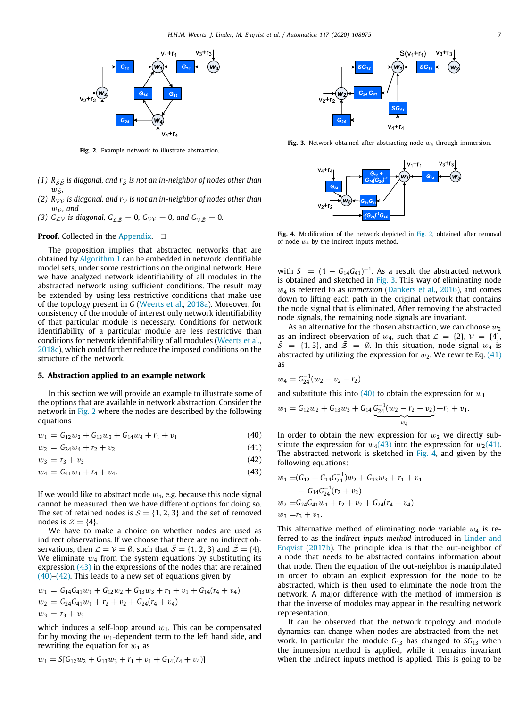

**Fig. 2.** Example network to illustrate abstraction.

- <span id="page-6-1"></span>(1)  $R_{\tilde{\mathcal{S}}\tilde{\mathcal{S}}}$  is diagonal, and  $r_{\tilde{\mathcal{S}}}$  is not an in-neighbor of nodes other than  $w_{\tilde{S}}$
- *(2)*  $R_{\mathcal{V}\mathcal{V}}$  *is diagonal, and*  $r_{\mathcal{V}}$  *is not an in-neighbor of nodes other than*  $w_{\mathcal{V}}$ *, and*
- (3)  $G_{\mathcal{L}\mathcal{V}}$  *is diagonal,*  $G_{\mathcal{L}\tilde{Z}} = 0$ ,  $G_{\mathcal{V}\mathcal{V}} = 0$ , and  $G_{\mathcal{V}\tilde{Z}} = 0$ .

## **Proof.** Collected in the [Appendix.](#page-10-0) □

The proposition implies that abstracted networks that are obtained by [Algorithm](#page-4-1) [1](#page-4-1) can be embedded in network identifiable model sets, under some restrictions on the original network. Here we have analyzed network identifiability of all modules in the abstracted network using sufficient conditions. The result may be extended by using less restrictive conditions that make use of the topology present in *G* ([Weerts et al.](#page-12-11), [2018a](#page-12-11)). Moreover, for consistency of the module of interest only network identifiability of that particular module is necessary. Conditions for network identifiability of a particular module are less restrictive than conditions for network identifiability of all modules ([Weerts et al.,](#page-12-17) [2018c\)](#page-12-17), which could further reduce the imposed conditions on the structure of the network.

## **5. Abstraction applied to an example network**

<span id="page-6-0"></span>In this section we will provide an example to illustrate some of the options that are available in network abstraction. Consider the network in [Fig.](#page-6-1) [2](#page-6-1) where the nodes are described by the following equations

<span id="page-6-6"></span>
$$
w_1 = G_{12}w_2 + G_{13}w_3 + G_{14}w_4 + r_1 + v_1 \tag{40}
$$

 $w_2 = G_{24}w_4 + r_2 + v_2$  (41)

<span id="page-6-4"></span>
$$
w_3 = r_3 + v_3 \tag{42}
$$

<span id="page-6-2"></span>
$$
w_4 = G_{41}w_1 + r_4 + v_4. \tag{43}
$$

If we would like to abstract node  $w_4$ , e.g. because this node signal cannot be measured, then we have different options for doing so. The set of retained nodes is  $S = \{1, 2, 3\}$  and the set of removed nodes is  $\mathcal{Z} = \{4\}.$ 

We have to make a choice on whether nodes are used as indirect observations. If we choose that there are no indirect observations, then  $\mathcal{L} = \mathcal{V} = \emptyset$ , such that  $\tilde{\mathcal{S}} = \{1, 2, 3\}$  and  $\tilde{\mathcal{Z}} = \{4\}$ . We eliminate  $w_4$  from the system equations by substituting its expression ([43](#page-6-2)) in the expressions of the nodes that are retained  $(40)$  $(40)$  $(40)$ – $(42)$ . This leads to a new set of equations given by

$$
w_1 = G_{14}G_{41}w_1 + G_{12}w_2 + G_{13}w_3 + r_1 + v_1 + G_{14}(r_4 + v_4)
$$
  
\n
$$
w_2 = G_{24}G_{41}w_1 + r_2 + v_2 + G_{24}(r_4 + v_4)
$$
  
\n
$$
w_3 = r_3 + v_3
$$

which induces a self-loop around  $w_1$ . This can be compensated for by moving the  $w_1$ -dependent term to the left hand side, and rewriting the equation for  $w_1$  as

$$
w_1 = S[G_{12}w_2 + G_{13}w_3 + r_1 + v_1 + G_{14}(r_4 + v_4)]
$$



<span id="page-6-5"></span>Fig. 3. Network obtained after abstracting node  $w_4$  through immersion.



<span id="page-6-7"></span>[Fig.](#page-6-1) 4. Modification of the network depicted in Fig. [2](#page-6-1), obtained after removal of node  $w_4$  by the indirect inputs method.

with  $S := (1 - G_{14}G_{41})^{-1}$ . As a result the abstracted network is obtained and sketched in [Fig.](#page-6-5) [3](#page-6-5). This way of eliminating node w<sup>4</sup> is referred to as *immersion* [\(Dankers et al.,](#page-12-20) [2016\)](#page-12-20), and comes down to lifting each path in the original network that contains the node signal that is eliminated. After removing the abstracted node signals, the remaining node signals are invariant.

As an alternative for the chosen abstraction, we can choose  $w_2$ as an indirect observation of  $w_4$ , such that  $\mathcal{L} = \{2\}, \mathcal{V} = \{4\},\$  $\tilde{\mathcal{S}} = \{1, 3\}$ , and  $\tilde{\mathcal{Z}} = \emptyset$ . In this situation, node signal  $w_4$  is abstracted by utilizing the expression for  $w_2$ . We rewrite Eq. ([41\)](#page-6-6) as

$$
w_4 = G_{24}^{-1}(w_2 - v_2 - r_2)
$$

and substitute this into  $(40)$  $(40)$  $(40)$  to obtain the expression for  $w_1$ 

$$
w_1 = G_{12}w_2 + G_{13}w_3 + G_{14}\underbrace{G_{24}^{-1}(w_2 - r_2 - v_2)}_{w_4} + r_1 + v_1.
$$

<span id="page-6-3"></span>In order to obtain the new expression for  $w_2$  we directly substitute the expression for  $w_4(43)$  $w_4(43)$  $w_4(43)$  into the expression for  $w_2(41)$  $w_2(41)$ . The abstracted network is sketched in [Fig.](#page-6-7) [4](#page-6-7), and given by the following equations:

$$
w_1 = (G_{12} + G_{14}G_{24}^{-1})w_2 + G_{13}w_3 + r_1 + v_1
$$
  
- 
$$
G_{14}G_{24}^{-1}(r_2 + v_2)
$$
  

$$
w_2 = G_{24}G_{41}w_1 + r_2 + v_2 + G_{24}(r_4 + v_4)
$$
  

$$
w_3 = r_3 + v_3.
$$

This alternative method of eliminating node variable  $w_4$  is referred to as the *indirect inputs method* introduced in [Linder and](#page-12-24) [Enqvist](#page-12-24) ([2017b\)](#page-12-24). The principle idea is that the out-neighbor of a node that needs to be abstracted contains information about that node. Then the equation of the out-neighbor is manipulated in order to obtain an explicit expression for the node to be abstracted, which is then used to eliminate the node from the network. A major difference with the method of immersion is that the inverse of modules may appear in the resulting network representation.

It can be observed that the network topology and module dynamics can change when nodes are abstracted from the network. In particular the module *G*<sup>13</sup> has changed to *SG*<sup>13</sup> when the immersion method is applied, while it remains invariant when the indirect inputs method is applied. This is going to be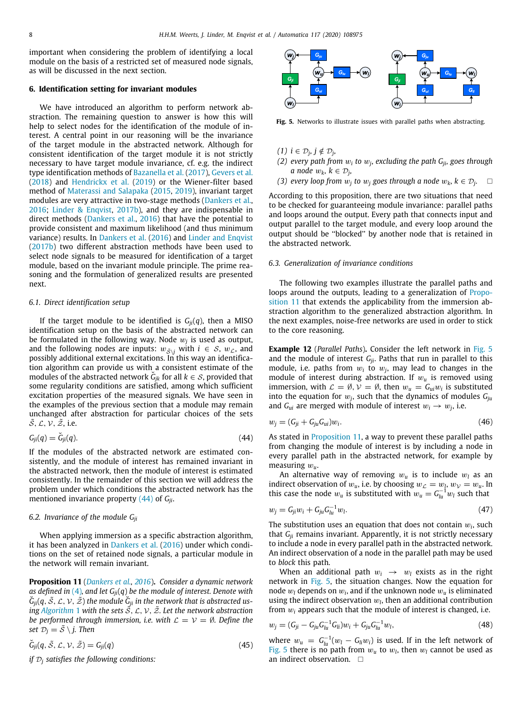important when considering the problem of identifying a local module on the basis of a restricted set of measured node signals, as will be discussed in the next section.

# **6. Identification setting for invariant modules**

<span id="page-7-0"></span>We have introduced an algorithm to perform network abstraction. The remaining question to answer is how this will help to select nodes for the identification of the module of interest. A central point in our reasoning will be the invariance of the target module in the abstracted network. Although for consistent identification of the target module it is not strictly necessary to have target module invariance, cf. e.g. the indirect type identification methods of [Bazanella et al.](#page-12-15) [\(2017](#page-12-15)), [Gevers et al.](#page-12-16) ([2018\)](#page-12-16) and [Hendrickx et al.](#page-12-12) ([2019](#page-12-12)) or the Wiener-filter based method of [Materassi and Salapaka](#page-12-25) [\(2015,](#page-12-25) [2019\)](#page-12-26), invariant target modules are very attractive in two-stage methods ([Dankers et al.,](#page-12-20) [2016;](#page-12-20) [Linder & Enqvist](#page-12-24), [2017b](#page-12-24)), and they are indispensable in direct methods ([Dankers et al.,](#page-12-20) [2016](#page-12-20)) that have the potential to provide consistent and maximum likelihood (and thus minimum variance) results. In [Dankers et al.](#page-12-20) ([2016\)](#page-12-20) and [Linder and Enqvist](#page-12-24) ([2017b\)](#page-12-24) two different abstraction methods have been used to select node signals to be measured for identification of a target module, based on the invariant module principle. The prime reasoning and the formulation of generalized results are presented next.

## *6.1. Direct identification setup*

If the target module to be identified is  $G_{ii}(q)$ , then a MISO identification setup on the basis of the abstracted network can be formulated in the following way. Node w*<sup>j</sup>* is used as output, and the following nodes are inputs:  $w_{\tilde{S}\setminus j}$  with  $i \in S$ ,  $w_{\mathcal{L}}$ , and possibly additional external excitations. In this way an identification algorithm can provide us with a consistent estimate of the modules of the abstracted network  $\tilde{G}_{jk}$  for all  $k \in S$ , provided that some regularity conditions are satisfied, among which sufficient excitation properties of the measured signals. We have seen in the examples of the previous section that a module may remain unchanged after abstraction for particular choices of the sets  $\tilde{\mathcal{S}}, \mathcal{L}, \mathcal{V}, \tilde{\mathcal{Z}},$  i.e.

$$
G_{ji}(q) = \breve{G}_{ji}(q). \tag{44}
$$

If the modules of the abstracted network are estimated consistently, and the module of interest has remained invariant in the abstracted network, then the module of interest is estimated consistently. In the remainder of this section we will address the problem under which conditions the abstracted network has the mentioned invariance property ([44\)](#page-7-1) of *Gji*.

# *6.2. Invariance of the module Gji*

When applying immersion as a specific abstraction algorithm, it has been analyzed in [Dankers et al.](#page-12-20) ([2016](#page-12-20)) under which conditions on the set of retained node signals, a particular module in the network will remain invariant.

<span id="page-7-2"></span>**Proposition 11** (*[Dankers et al.,](#page-12-20) [2016](#page-12-20)*)**.** *Consider a dynamic network as defined in* ([4\)](#page-1-3)*, and let Gji*(*q*) *be the module of interest. Denote with*  $\breve G_{ji}(q,\tilde{\mathcal{S}},\mathcal{L},\mathcal{V},\tilde{\mathcal{Z}})$  the module  $\breve G_{ji}$  in the network that is abstracted us*ing [Algorithm](#page-4-1)* [1](#page-4-1) with the sets  $\tilde{S}$ ,  $\mathcal{L}$ ,  $\mathcal{V}$ ,  $\tilde{Z}$ *. Let the network abstraction be performed through immersion, i.e. with*  $\mathcal{L} = \mathcal{V} = \emptyset$ *. Define the set*  $\mathcal{D}_i = \overline{\mathcal{S}} \setminus j$ *. Then* 

$$
\breve{G}_{ji}(q, \tilde{S}, \mathcal{L}, \mathcal{V}, \tilde{\mathcal{Z}}) = G_{ji}(q) \tag{45}
$$

*if* D*<sup>j</sup> satisfies the following conditions:*



<span id="page-7-3"></span>Fig. 5. Networks to illustrate issues with parallel paths when abstracting

- $(1)$  *i* ∈  $\mathcal{D}_j$ , *j* ∉  $\mathcal{D}_j$ ,
- *(2) every path from*  $w_i$  *to*  $w_j$ *, excluding the path*  $G_{ji}$ *, goes through a* node  $w_k$ ,  $k \in \mathcal{D}_j$ ,
- *(3) every loop from*  $w_j$  *to*  $w_j$  *goes through a node*  $w_k$ *,*  $k \in \mathcal{D}_j$ .  $\square$

According to this proposition, there are two situations that need to be checked for guaranteeing module invariance: parallel paths and loops around the output. Every path that connects input and output parallel to the target module, and every loop around the output should be ''blocked'' by another node that is retained in the abstracted network.

## *6.3. Generalization of invariance conditions*

The following two examples illustrate the parallel paths and loops around the outputs, leading to a generalization of [Propo](#page-7-2)[sition](#page-7-2) [11](#page-7-2) that extends the applicability from the immersion abstraction algorithm to the generalized abstraction algorithm. In the next examples, noise-free networks are used in order to stick to the core reasoning.

**Example 12** (*Parallel Paths*)**.** Consider the left network in [Fig.](#page-7-3) [5](#page-7-3) and the module of interest  $G_{ji}$ . Paths that run in parallel to this module, i.e. paths from  $w_i$  to  $w_j$ , may lead to changes in the module of interest during abstraction. If  $w<sub>u</sub>$  is removed using immersion, with  $\mathcal{L} = \emptyset$ ,  $\mathcal{V} = \emptyset$ , then  $w_u = G_{ui}w_i$  is substituted into the equation for  $w_j$ , such that the dynamics of modules  $G_{ju}$ and  $G_{ui}$  are merged with module of interest  $w_i \rightarrow w_j$ , i.e.

$$
w_j = (G_{ji} + G_{ju} G_{ui}) w_i.
$$
\n
$$
(46)
$$

<span id="page-7-1"></span>As stated in **[Proposition](#page-7-2) [11](#page-7-2)**, a way to prevent these parallel paths from changing the module of interest is by including a node in every parallel path in the abstracted network, for example by measuring w*u*.

An alternative way of removing  $w_u$  is to include  $w_l$  as an indirect observation of  $w_u$ , i.e. by choosing  $w_{\mathcal{L}} = w_l$ ,  $w_{\mathcal{V}} = w_u$ . In this case the node  $w_u$  is substituted with  $w_u = G_{lu}^{-1} w_l$  such that

$$
w_j = G_{ji} w_i + G_{ju} G_{lu}^{-1} w_l. \tag{47}
$$

The substitution uses an equation that does not contain  $w_i$ , such that *Gji* remains invariant. Apparently, it is not strictly necessary to include a node in every parallel path in the abstracted network. An indirect observation of a node in the parallel path may be used to *block* this path.

When an additional path  $w_i \rightarrow w_l$  exists as in the right network in [Fig.](#page-7-3) [5,](#page-7-3) the situation changes. Now the equation for node  $w_l$  depends on  $w_i$ , and if the unknown node  $w_u$  is eliminated using the indirect observation  $w_l$ , then an additional contribution from  $w_i$  appears such that the module of interest is changed, i.e.

$$
w_j = (G_{ji} - G_{ju}G_{lu}^{-1}G_{li})w_i + G_{ju}G_{lu}^{-1}w_l,
$$
\n(48)

where  $w_u = G_{lu}^{-1}(w_l - G_{li}w_i)$  is used. If in the left network of [Fig.](#page-7-3) [5](#page-7-3) there is no path from  $w_u$  to  $w_l$ , then  $w_l$  cannot be used as an indirect observation. □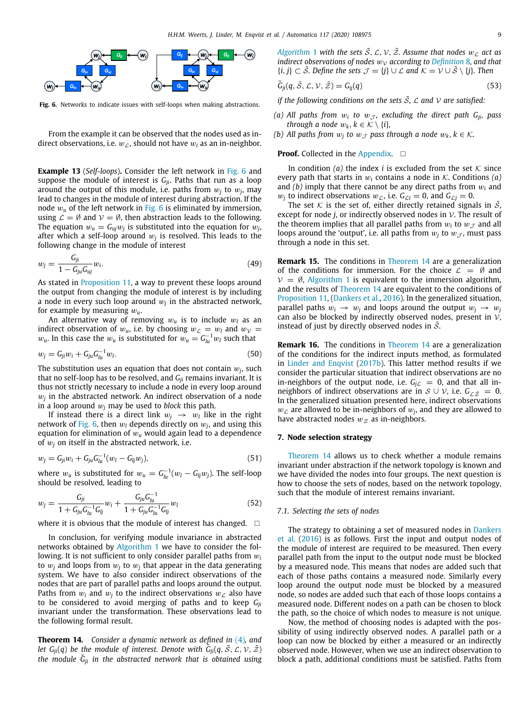

<span id="page-8-1"></span>Fig. 6. Networks to indicate issues with self-loops when making abstractions.

From the example it can be observed that the nodes used as indirect observations, i.e.  $w_c$ , should not have  $w_i$  as an in-neighbor.

**Example 13** (*Self-loops*)**.** Consider the left network in [Fig.](#page-8-1) [6](#page-8-1) and suppose the module of interest is *Gji*. Paths that run as a loop around the output of this module, i.e. paths from  $w_j$  to  $w_j$ , may lead to changes in the module of interest during abstraction. If the node  $w_u$  of the left network in [Fig.](#page-8-1) [6](#page-8-1) is eliminated by immersion, using  $\mathcal{L} = \emptyset$  and  $\mathcal{V} = \emptyset$ , then abstraction leads to the following. The equation  $w_u = G_{uj}w_j$  is substituted into the equation for  $w_j$ , after which a self-loop around w*<sup>j</sup>* is resolved. This leads to the following change in the module of interest

$$
w_j = \frac{G_{ji}}{1 - G_{ju} G_{uj}} w_i.
$$
\n(49)

As stated in [Proposition](#page-7-2) [11,](#page-7-2) a way to prevent these loops around the output from changing the module of interest is by including a node in every such loop around  $w_j$  in the abstracted network, for example by measuring w*u*.

An alternative way of removing  $w_u$  is to include  $w_l$  as an indirect observation of  $w_u$ , i.e. by choosing  $w_{\mathcal{L}} = w_l$  and  $w_{\mathcal{V}} =$  $w_u$ . In this case the  $w_u$  is substituted for  $w_u = G_{lu}^{-1} w_l$  such that

$$
w_j = G_{ji} w_i + G_{ju} G_{lu}^{-1} w_l.
$$
\n(50)

The substitution uses an equation that does not contain  $w_j$ , such that no self-loop has to be resolved, and *Gji* remains invariant. It is thus not strictly necessary to include a node in every loop around  $w_j$  in the abstracted network. An indirect observation of a node in a loop around w*<sup>j</sup>* may be used to *block* this path.

If instead there is a direct link  $w_j$   $\rightarrow$   $w_l$  like in the right network of [Fig.](#page-8-1) [6,](#page-8-1) then  $w_l$  depends directly on  $w_j$ , and using this equation for elimination of w*<sup>u</sup>* would again lead to a dependence of  $w_i$  on itself in the abstracted network, i.e.

$$
w_j = G_{ji} w_i + G_{ju} G_{lu}^{-1} (w_l - G_{lj} w_j),
$$
\n(51)

where  $w_u$  is substituted for  $w_u = G_{lu}^{-1}(w_l - G_{lj}w_j)$ . The self-loop should be resolved, leading to

$$
w_j = \frac{G_{ji}}{1 + G_{ju} G_{lu}^{-1} G_{lj}} w_i + \frac{G_{ju} G_{lu}^{-1}}{1 + G_{ju} G_{lu}^{-1} G_{lj}} w_l
$$
(52)

where it is obvious that the module of interest has changed.  $\square$ 

In conclusion, for verifying module invariance in abstracted networks obtained by [Algorithm](#page-4-1) [1](#page-4-1) we have to consider the following. It is not sufficient to only consider parallel paths from w*<sup>i</sup>* to  $w_j$  and loops from  $w_j$  to  $w_j$  that appear in the data generating system. We have to also consider indirect observations of the nodes that are part of parallel paths and loops around the output. Paths from  $w_i$  and  $w_j$  to the indirect observations  $w_\mathcal{L}$  also have to be considered to avoid merging of paths and to keep *Gji* invariant under the transformation. These observations lead to the following formal result.

<span id="page-8-2"></span>**Theorem 14.** *Consider a dynamic network as defined in* ([4\)](#page-1-3)*, and let G*<sub>ji</sub>(q) *be the module of interest. Denote with*  $\check{G}_{ji}(q, \tilde{\mathcal{S}}, \mathcal{L}, \mathcal{V}, \tilde{\mathcal{Z}})$ *the module*  $\check{G}_{ji}$  *in the abstracted network that is obtained using* 

*[Algorithm](#page-4-1)* [1](#page-4-1) with the sets  $\tilde{S}$ ,  $\mathcal{L}$ ,  $\mathcal{V}$ ,  $\tilde{Z}$ *. Assume that nodes*  $w_{\mathcal{L}}$  *act as indirect observations of nodes*  $w<sub>V</sub>$  *according to [Definition](#page-4-2) [8](#page-4-2), and that*  ${i, j}$  ⊂ S̃. Define the sets  $\mathcal{J} = {j}$  ∪  $\mathcal{L}$  and  $\mathcal{K} = \mathcal{V} \cup \tilde{S} \setminus {j}$ *. Then* 

$$
\breve{G}_{ji}(q, \tilde{S}, \mathcal{L}, \mathcal{V}, \tilde{\mathcal{Z}}) = G_{ij}(q)
$$
\n(53)

*if the following conditions on the sets*  $\tilde{S}$ ,  $\mathcal{L}$  and  $\mathcal{V}$  are satisfied:

- *(a)* All paths from  $w_i$  to  $w_{\mathcal{J}}$ , excluding the direct path  $G_{ii}$ , pass *through a node*  $w_k, k \in \mathcal{K} \setminus \{i\}$ ,
- *(b) All paths from*  $w_i$  *to*  $w_{\mathcal{J}}$  *pass through a node*  $w_k$ ,  $k \in \mathcal{K}$ *.*

## **Proof.** Collected in the [Appendix.](#page-10-0) □

In condition  $(a)$  the index *i* is excluded from the set  $K$  since every path that starts in w*<sup>i</sup>* contains a node in K. Conditions *(a)* and *(b)* imply that there cannot be any direct paths from w*<sup>i</sup>* and  $w_i$  to indirect observations  $w_{\mathcal{L}}$ , i.e.  $G_{\mathcal{L}i} = 0$ , and  $G_{\mathcal{L}i} = 0$ .

The set K is the set of, either directly retained signals in  $\tilde{\mathcal{S}}$ , except for node *j*, or indirectly observed nodes in  $V$ . The result of the theorem implies that all parallel paths from  $w_i$  to  $w_\tau$  and all loops around the 'output', i.e. all paths from  $w_j$  to  $w_{\mathcal{J}}$ , must pass through a node in this set.

**Remark 15.** The conditions in [Theorem](#page-8-2) [14](#page-8-2) are a generalization of the conditions for immersion. For the choice  $\mathcal{L} = \emptyset$  and  $V = \emptyset$ , [Algorithm](#page-4-1) [1](#page-4-1) is equivalent to the immersion algorithm, and the results of [Theorem](#page-8-2) [14](#page-8-2) are equivalent to the conditions of [Proposition](#page-7-2) [11](#page-7-2), [\(Dankers et al.,](#page-12-20) [2016](#page-12-20)). In the generalized situation, parallel paths  $w_i \rightarrow w_j$  and loops around the output  $w_i \rightarrow w_j$ can also be blocked by indirectly observed nodes, present in  $\mathcal{V}$ , instead of just by directly observed nodes in  $\tilde{\mathcal{S}}$ .

**Remark 16.** The conditions in [Theorem](#page-8-2) [14](#page-8-2) are a generalization of the conditions for the indirect inputs method, as formulated in [Linder and Enqvist](#page-12-24) [\(2017b](#page-12-24)). This latter method results if we consider the particular situation that indirect observations are no in-neighbors of the output node, i.e.  $G_{i\mathcal{L}} = 0$ , and that all inneighbors of indirect observations are in  $S \cup V$ , i.e.  $G_{\mathcal{L}\tilde{Z}} = 0$ . In the generalized situation presented here, indirect observations  $w_{\mathcal{L}}$  are allowed to be in-neighbors of  $w_j$ , and they are allowed to have abstracted nodes  $w_z$  as in-neighbors.

## **7. Node selection strategy**

<span id="page-8-0"></span>[Theorem](#page-8-2) [14](#page-8-2) allows us to check whether a module remains invariant under abstraction if the network topology is known and we have divided the nodes into four groups. The next question is how to choose the sets of nodes, based on the network topology, such that the module of interest remains invariant.

## *7.1. Selecting the sets of nodes*

The strategy to obtaining a set of measured nodes in [Dankers](#page-12-20) [et al.](#page-12-20) [\(2016\)](#page-12-20) is as follows. First the input and output nodes of the module of interest are required to be measured. Then every parallel path from the input to the output node must be blocked by a measured node. This means that nodes are added such that each of those paths contains a measured node. Similarly every loop around the output node must be blocked by a measured node, so nodes are added such that each of those loops contains a measured node. Different nodes on a path can be chosen to block the path, so the choice of which nodes to measure is not unique.

Now, the method of choosing nodes is adapted with the possibility of using indirectly observed nodes. A parallel path or a loop can now be blocked by either a measured or an indirectly observed node. However, when we use an indirect observation to block a path, additional conditions must be satisfied. Paths from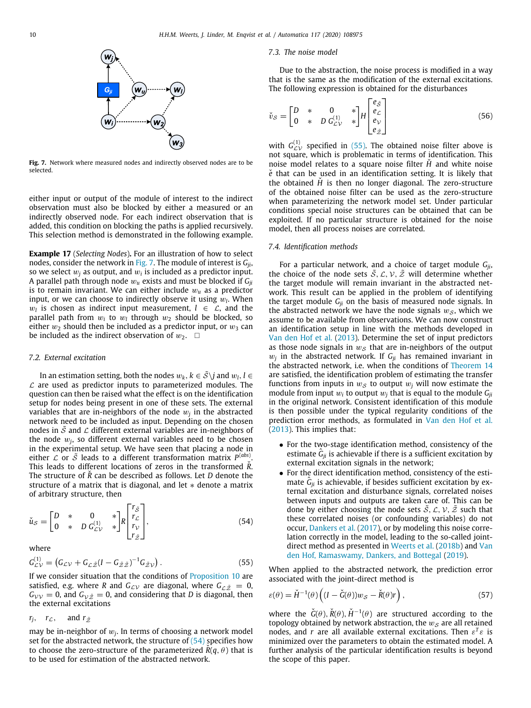

<span id="page-9-0"></span>**Fig. 7.** Network where measured nodes and indirectly observed nodes are to be selected.

either input or output of the module of interest to the indirect observation must also be blocked by either a measured or an indirectly observed node. For each indirect observation that is added, this condition on blocking the paths is applied recursively. This selection method is demonstrated in the following example.

**Example 17** (*Selecting Nodes*)**.** For an illustration of how to select nodes, consider the network in [Fig.](#page-9-0) [7](#page-9-0). The module of interest is *Gji*, so we select  $w_j$  as output, and  $w_i$  is included as a predictor input. A parallel path through node  $w_u$  exists and must be blocked if  $G_{ii}$ is to remain invariant. We can either include  $w<sub>u</sub>$  as a predictor input, or we can choose to indirectly observe it using  $w_l.$  When  $w_l$  is chosen as indirect input measurement,  $l \in \mathcal{L}$ , and the parallel path from  $w_i$  to  $w_l$  through  $w_2$  should be blocked, so either  $w_2$  should then be included as a predictor input, or  $w_3$  can be included as the indirect observation of  $w_2$ .  $\Box$ 

#### *7.2. External excitation*

In an estimation setting, both the nodes  $w_k$ ,  $k \in \tilde{S} \setminus j$  and  $w_l$ ,  $l \in$  $\mathcal L$  are used as predictor inputs to parameterized modules. The question can then be raised what the effect is on the identification setup for nodes being present in one of these sets. The external variables that are in-neighbors of the node w*<sup>j</sup>* in the abstracted network need to be included as input. Depending on the chosen nodes in  $\tilde{S}$  and  $\mathcal L$  different external variables are in-neighbors of the node w*<sup>j</sup>* , so different external variables need to be chosen in the experimental setup. We have seen that placing a node in either  $\mathcal L$  or  $\tilde{\mathcal S}$  leads to a different transformation matrix  $P^{(abs)}$ . This leads to different locations of zeros in the transformed *R*. The structure of  $\tilde{R}$  can be described as follows. Let *D* denote the structure of a matrix that is diagonal, and let ∗ denote a matrix of arbitrary structure, then

$$
\check{u}_{\mathcal{S}} = \begin{bmatrix} D & * & 0 & * \\ 0 & * & D & G_{\mathcal{L}\mathcal{V}}^{(1)} & * \end{bmatrix} R \begin{bmatrix} r_{\mathcal{S}} \\ r_{\mathcal{L}} \\ r_{\mathcal{V}} \\ r_{\mathcal{Z}} \end{bmatrix},\tag{54}
$$

where

$$
G_{\mathcal{L}\mathcal{V}}^{(1)} = \left( G_{\mathcal{L}\mathcal{V}} + G_{\mathcal{L}\tilde{\mathcal{Z}}}(I - G_{\tilde{\mathcal{Z}}\tilde{\mathcal{Z}}})^{-1} G_{\tilde{\mathcal{Z}}\mathcal{V}} \right). \tag{55}
$$

If we consider situation that the conditions of [Proposition](#page-5-2) [10](#page-5-2) are satisfied, e.g. where *R* and  $G_{LV}$  are diagonal, where  $G_{\mathcal{L}\tilde{Z}} = 0$ ,  $G_{\mathcal{V}\mathcal{V}} = 0$ , and  $G_{\mathcal{V}\tilde{Z}} = 0$ , and considering that *D* is diagonal, then the external excitations

$$
r_j, r_\mathcal{L}, \quad \text{and } r_{\tilde{\mathcal{Z}}}
$$

may be in-neighbor of  $w_j$ . In terms of choosing a network model set for the abstracted network, the structure of  $(54)$  specifies how to choose the zero-structure of the parameterized  $R(q, \theta)$  that is to be used for estimation of the abstracted network.

## *7.3. The noise model*

Due to the abstraction, the noise process is modified in a way that is the same as the modification of the external excitations. The following expression is obtained for the disturbances

$$
\check{v}_{\mathcal{S}} = \begin{bmatrix} D & * & 0 & * \\ 0 & * & D \ G_{\mathcal{L}\mathcal{V}}^{(1)} & * \end{bmatrix} H \begin{bmatrix} e_{\mathcal{S}} \\ e_{\mathcal{L}} \\ e_{\mathcal{V}} \\ e_{\mathcal{Z}} \end{bmatrix} \tag{56}
$$

with  $G_{CV}^{(1)}$  specified in [\(55\)](#page-9-2). The obtained noise filter above is not square, which is problematic in terms of identification. This noise model relates to a square noise filter *<sup>H</sup>*ˇ and white noise  $\check{e}$  that can be used in an identification setting. It is likely that the obtained *H* is then no longer diagonal. The zero-structure of the obtained noise filter can be used as the zero-structure when parameterizing the network model set. Under particular conditions special noise structures can be obtained that can be exploited. If no particular structure is obtained for the noise model, then all process noises are correlated.

#### *7.4. Identification methods*

For a particular network, and a choice of target module *Gji*, the choice of the node sets  $\tilde{S}, \mathcal{L}, \mathcal{V}, \tilde{Z}$  will determine whether the target module will remain invariant in the abstracted network. This result can be applied in the problem of identifying the target module *Gji* on the basis of measured node signals. In the abstracted network we have the node signals  $w_{\mathcal{S}}$ , which we assume to be available from observations. We can now construct an identification setup in line with the methods developed in [Van den Hof et al.](#page-12-13) ([2013](#page-12-13)). Determine the set of input predictors as those node signals in  $w<sub>S</sub>$  that are in-neighbors of the output  $w_j$  in the abstracted network. If  $G_{ji}$  has remained invariant in the abstracted network, i.e. when the conditions of [Theorem](#page-8-2) [14](#page-8-2) are satisfied, the identification problem of estimating the transfer functions from inputs in  $w<sub>S</sub>$  to output  $w<sub>j</sub>$  will now estimate the module from input  $w_i$  to output  $w_j$  that is equal to the module  $G_{ji}$ in the original network. Consistent identification of this module is then possible under the typical regularity conditions of the prediction error methods, as formulated in [Van den Hof et al.](#page-12-13) ([2013\)](#page-12-13). This implies that:

- For the two-stage identification method, consistency of the estimate  $\hat{G}_{ji}$  is achievable if there is a sufficient excitation by external excitation signals in the network;
- For the direct identification method, consistency of the estimate  $\hat{G}_{ji}$  is achievable, if besides sufficient excitation by external excitation and disturbance signals, correlated noises between inputs and outputs are taken care of. This can be done by either choosing the node sets  $\tilde{S}$ ,  $\mathcal{L}$ ,  $\mathcal{V}$ ,  $\tilde{Z}$  such that these correlated noises (or confounding variables) do not occur, [Dankers et al.](#page-12-21) [\(2017](#page-12-21)), or by modeling this noise correlation correctly in the model, leading to the so-called jointdirect method as presented in [Weerts et al.](#page-12-10) [\(2018b](#page-12-10)) and [Van](#page-12-31) [den Hof, Ramaswamy, Dankers, and Bottegal](#page-12-31) [\(2019](#page-12-31)).

<span id="page-9-2"></span><span id="page-9-1"></span>When applied to the abstracted network, the prediction error associated with the joint-direct method is

$$
\varepsilon(\theta) = \check{H}^{-1}(\theta) \left( (I - \check{G}(\theta)) w_{\mathcal{S}} - \check{R}(\theta) r \right),\tag{57}
$$

where the  $\check{G}(\theta)$ ,  $\check{R}(\theta)$ ,  $\check{H}^{-1}(\theta)$  are structured according to the topology obtained by network abstraction, the  $w_{\mathcal{S}}$  are all retained nodes, and *r* are all available external excitations. Then  $\varepsilon^T \varepsilon$  is minimized over the parameters to obtain the estimated model. A further analysis of the particular identification results is beyond the scope of this paper.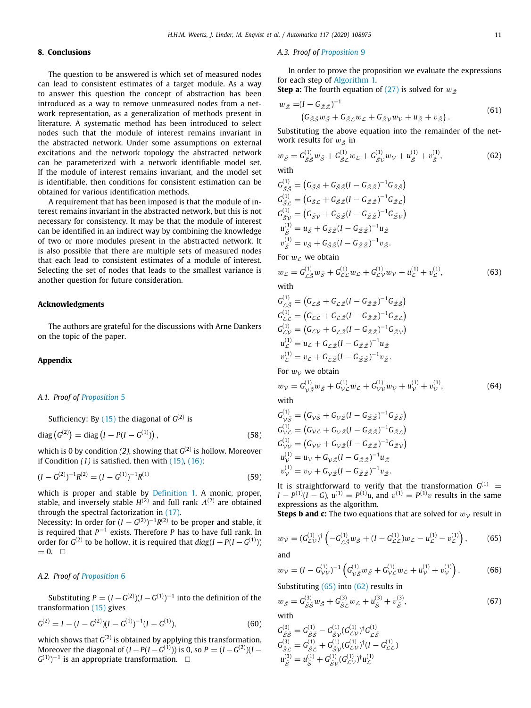# **8. Conclusions**

The question to be answered is which set of measured nodes can lead to consistent estimates of a target module. As a way to answer this question the concept of abstraction has been introduced as a way to remove unmeasured nodes from a network representation, as a generalization of methods present in literature. A systematic method has been introduced to select nodes such that the module of interest remains invariant in the abstracted network. Under some assumptions on external excitations and the network topology the abstracted network can be parameterized with a network identifiable model set. If the module of interest remains invariant, and the model set is identifiable, then conditions for consistent estimation can be obtained for various identification methods.

A requirement that has been imposed is that the module of interest remains invariant in the abstracted network, but this is not necessary for consistency. It may be that the module of interest can be identified in an indirect way by combining the knowledge of two or more modules present in the abstracted network. It is also possible that there are multiple sets of measured nodes that each lead to consistent estimates of a module of interest. Selecting the set of nodes that leads to the smallest variance is another question for future consideration.

## **Acknowledgments**

The authors are grateful for the discussions with Arne Dankers on the topic of the paper.

## **Appendix**

# <span id="page-10-0"></span>*A.1. Proof of [Proposition](#page-2-6)* [5](#page-2-6)

Sufficiency: By  $(15)$  the diagonal of  $G^{(2)}$  is

diag 
$$
(G^{(2)})
$$
 = diag  $(I - P(I - G^{(1)}))$ , (58)

which is 0 by condition *(2)*, showing that *G* (2) is hollow. Moreover if Condition *(1)* is satisfied, then with ([15](#page-2-3)), ([16\)](#page-2-4):

$$
(I - G^{(2)})^{-1}R^{(2)} = (I - G^{(1)})^{-1}R^{(1)}
$$
\n(59)

which is proper and stable by [Definition](#page-2-1) [1](#page-2-1). A monic, proper, stable, and inversely stable  $H^{(2)}$  and full rank  $\Lambda^{(2)}$  are obtained through the spectral factorization in ([17](#page-2-5)).

Necessity: In order for  $(I - G^{(2)})^{-1}R^{(2)}$  to be proper and stable, it is required that *P*<sup>−1</sup> exists. Therefore *P* has to have full rank. In order for  $G^{(2)}$  to be hollow, it is required that  $diag(I - P(I - G^{(1)}))$  $= 0.$   $\Box$ 

## *A.2. Proof of [Proposition](#page-3-3)* [6](#page-3-3)

Substituting  $P = (I - G^{(2)})(I - G^{(1)})^{-1}$  into the definition of the transformation ([15\)](#page-2-3) gives

$$
G^{(2)} = I - (I - G^{(2)})(I - G^{(1)})^{-1}(I - G^{(1)}),
$$
\n(60)

which shows that  $G^{(2)}$  is obtained by applying this transformation. Moreover the diagonal of  $(I - P(I - G^{(1)}))$  is 0, so  $P = (I - G^{(2)})(I - G^{(2)})$  $G^{(1)}$ <sup>-1</sup> is an appropriate transformation.  $\square$ 

## *A.3. Proof of [Proposition](#page-5-3)* [9](#page-5-3)

In order to prove the proposition we evaluate the expressions for each step of [Algorithm](#page-4-1) [1](#page-4-1).

**Step a:** The fourth equation of ([27](#page-4-0)) is solved for  $w_{\tilde{z}}$ 

$$
w_{\tilde{z}} = (I - G_{\tilde{z}\tilde{z}})^{-1}
$$
  
\n
$$
(G_{\tilde{z}\tilde{S}}w_{\tilde{S}} + G_{\tilde{z}\tilde{L}}w_{\tilde{L}} + G_{\tilde{z}\tilde{V}}w_{\tilde{V}} + u_{\tilde{z}} + v_{\tilde{z}}).
$$
\n(61)

Substituting the above equation into the remainder of the network results for  $w_{\tilde{S}}$  in

<span id="page-10-2"></span>
$$
w_{\tilde{S}} = G_{\tilde{S}\tilde{S}}^{(1)} w_{\tilde{S}} + G_{\tilde{S}\mathcal{L}}^{(1)} w_{\mathcal{L}} + G_{\tilde{S}\mathcal{V}}^{(1)} w_{\mathcal{V}} + u_{\tilde{S}}^{(1)} + v_{\tilde{S}}^{(1)},
$$
(62)

with

$$
G_{\tilde{S}\tilde{S}}^{(1)} = (G_{\tilde{S}\tilde{S}} + G_{\tilde{S}\tilde{Z}}(I - G_{\tilde{Z}\tilde{Z}})^{-1}G_{\tilde{Z}\tilde{S}})
$$
  
\n
$$
G_{\tilde{S}L}^{(1)} = (G_{\tilde{S}L} + G_{\tilde{S}\tilde{Z}}(I - G_{\tilde{Z}\tilde{Z}})^{-1}G_{\tilde{Z}L})
$$
  
\n
$$
G_{\tilde{S}V}^{(1)} = (G_{\tilde{S}V} + G_{\tilde{S}\tilde{Z}}(I - G_{\tilde{Z}\tilde{Z}})^{-1}G_{\tilde{Z}V})
$$
  
\n
$$
u_{\tilde{S}}^{(1)} = u_{\tilde{S}} + G_{\tilde{S}\tilde{Z}}(I - G_{\tilde{Z}\tilde{Z}})^{-1}u_{\tilde{Z}}
$$
  
\n
$$
v_{\tilde{S}}^{(1)} = v_{\tilde{S}} + G_{\tilde{S}\tilde{Z}}(I - G_{\tilde{Z}\tilde{Z}})^{-1}v_{\tilde{Z}}.
$$

For  $w<sub>C</sub>$  we obtain

$$
w_{\mathcal{L}} = G_{\mathcal{L}\bar{S}}^{(1)} w_{\bar{S}} + G_{\mathcal{L}\mathcal{L}}^{(1)} w_{\mathcal{L}} + G_{\mathcal{L}\mathcal{V}}^{(1)} w_{\mathcal{V}} + u_{\mathcal{L}}^{(1)} + v_{\mathcal{L}}^{(1)},
$$
(63)

<span id="page-10-3"></span>
$$
1
$$

$$
G_{\mathcal{L}\bar{S}}^{(1)} = (G_{\mathcal{L}\bar{S}} + G_{\mathcal{L}\bar{Z}}(I - G_{\tilde{Z}\bar{Z}})^{-1}G_{\tilde{Z}\bar{S}})
$$
  
\n
$$
G_{\mathcal{L}\mathcal{L}}^{(1)} = (G_{\mathcal{L}\mathcal{L}} + G_{\mathcal{L}\bar{Z}}(I - G_{\tilde{Z}\bar{Z}})^{-1}G_{\tilde{Z}\mathcal{L}})
$$
  
\n
$$
G_{\mathcal{L}\mathcal{V}}^{(1)} = (G_{\mathcal{L}\mathcal{V}} + G_{\mathcal{L}\bar{Z}}(I - G_{\tilde{Z}\bar{Z}})^{-1}G_{\tilde{Z}\mathcal{V}})
$$
  
\n
$$
u_{\mathcal{L}}^{(1)} = u_{\mathcal{L}} + G_{\mathcal{L}\bar{Z}}(I - G_{\tilde{Z}\bar{Z}})^{-1}u_{\tilde{Z}}
$$
  
\n
$$
v_{\mathcal{L}}^{(1)} = v_{\mathcal{L}} + G_{\mathcal{L}\bar{Z}}(I - G_{\tilde{Z}\bar{Z}})^{-1}v_{\tilde{Z}}.
$$

For  $w<sub>V</sub>$  we obtain

<span id="page-10-4"></span>
$$
w_{V} = G_{V\tilde{S}}^{(1)} w_{\tilde{S}} + G_{V\mathcal{L}}^{(1)} w_{\mathcal{L}} + G_{V\mathcal{V}}^{(1)} w_{V} + u_{V}^{(1)} + v_{V}^{(1)},
$$
(64)  
with

$$
G_{\mathcal{V}\bar{\mathcal{S}}}^{(1)} = (G_{\mathcal{V}\bar{\mathcal{S}}} + G_{\mathcal{V}\bar{\mathcal{Z}}}(I - G_{\tilde{\mathcal{Z}}\bar{\mathcal{Z}}})^{-1}G_{\tilde{\mathcal{Z}}\bar{\mathcal{S}}})
$$
  
\n
$$
G_{\mathcal{V}\mathcal{L}}^{(1)} = (G_{\mathcal{V}\mathcal{L}} + G_{\mathcal{V}\bar{\mathcal{Z}}}(I - G_{\tilde{\mathcal{Z}}\bar{\mathcal{Z}}})^{-1}G_{\tilde{\mathcal{Z}}\mathcal{L}})
$$
  
\n
$$
G_{\mathcal{V}\mathcal{V}}^{(1)} = (G_{\mathcal{V}\mathcal{V}} + G_{\mathcal{V}\bar{\mathcal{Z}}}(I - G_{\tilde{\mathcal{Z}}\bar{\mathcal{Z}}})^{-1}G_{\tilde{\mathcal{Z}}\mathcal{V}})
$$
  
\n
$$
u_{\mathcal{V}}^{(1)} = u_{\mathcal{V}} + G_{\mathcal{V}\bar{\mathcal{Z}}}(I - G_{\tilde{\mathcal{Z}}\bar{\mathcal{Z}}})^{-1}u_{\tilde{\mathcal{Z}}}
$$
  
\n
$$
v_{\mathcal{V}}^{(1)} = v_{\mathcal{V}} + G_{\mathcal{V}\bar{\mathcal{Z}}}(I - G_{\tilde{\mathcal{Z}}\bar{\mathcal{Z}}})^{-1}v_{\tilde{\mathcal{Z}}}.
$$

It is straightforward to verify that the transformation  $G^{(1)}$  = *I* − *P*<sup>(1)</sup>(*I* − *G*), *u*<sup>(1)</sup> = *P*<sup>(1)</sup>*u*, and *v*<sup>(1)</sup> = *P*<sup>(1)</sup>*v* results in the same expressions as the algorithm.

**Steps b and c:** The two equations that are solved for  $w<sub>V</sub>$  result in

<span id="page-10-1"></span>
$$
w_{V} = (G_{\mathcal{L}V}^{(1)})^{\dagger} \left( -G_{\mathcal{L}\bar{S}}^{(1)} w_{\tilde{S}} + (I - G_{\mathcal{L}\mathcal{L}}^{(1)}) w_{\mathcal{L}} - u_{\mathcal{L}}^{(1)} - v_{\mathcal{L}}^{(1)} \right),
$$
(65)

and

$$
w_{\mathcal{V}} = (I - G_{\mathcal{V}\mathcal{V}}^{(1)})^{-1} \left( G_{\mathcal{V}\tilde{\mathcal{S}}}^{(1)} w_{\tilde{\mathcal{S}}} + G_{\mathcal{V}\mathcal{L}}^{(1)} w_{\mathcal{L}} + u_{\mathcal{V}}^{(1)} + v_{\mathcal{V}}^{(1)} \right). \tag{66}
$$

<span id="page-10-5"></span>Substituting ([65\)](#page-10-1) into [\(62](#page-10-2)) results in

$$
w_{\tilde{S}} = G_{\tilde{S}\tilde{S}}^{(3)} w_{\tilde{S}} + G_{\tilde{S}\tilde{L}}^{(3)} w_{\tilde{L}} + u_{\tilde{S}}^{(3)} + v_{\tilde{S}}^{(3)},
$$
(67)  
with

$$
\begin{array}{l} G^{(3)}_{\bar{S}\bar{S}}=G^{(1)}_{\bar{S}\bar{S}}-G^{(1)}_{\bar{S}\nu}(G^{(1)}_{\mathcal{L}\nu})^{\dagger}G^{(1)}_{\mathcal{L}\bar{S}} \\ G^{(3)}_{\bar{S}\mathcal{L}}=G^{(1)}_{\bar{S}\mathcal{L}}+G^{(1)}_{\bar{S}\nu}(G^{(1)}_{\mathcal{L}\nu})^{\dagger}(I-G^{(1)}_{\mathcal{L}\mathcal{L}}) \\ u^{(3)}_{\bar{S}}=u^{(1)}_{\bar{S}}+G^{(1)}_{\bar{S}\nu}(G^{(1)}_{\mathcal{L}\nu})^{\dagger}u^{(1)}_{\mathcal{L}} \end{array}
$$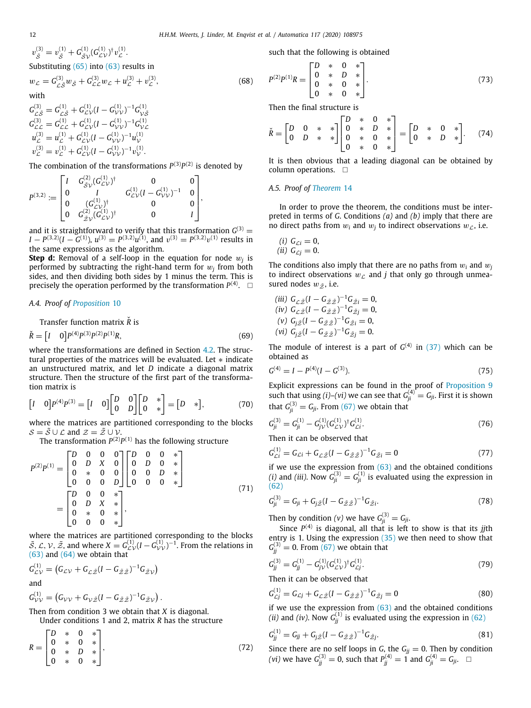$v^{(3)}_{\tilde{\mathcal{S}}} = v^{(1)}_{\tilde{\mathcal{S}}} + G^{(1)}_{\tilde{\mathcal{S}}\mathcal{V}}(G^{(1)}_{\mathcal{L}\mathcal{V}})^{\dagger}v^{(1)}_{\mathcal{L}}.$ 

Substituting [\(65\)](#page-10-1) into ([63](#page-10-3)) results in

$$
w_{\mathcal{L}} = G_{\mathcal{L}\bar{S}}^{(3)} w_{\bar{S}} + G_{\mathcal{L}\mathcal{L}}^{(3)} w_{\mathcal{L}} + u_{\mathcal{L}}^{(3)} + v_{\mathcal{L}}^{(3)},
$$
(68)  
with  

$$
G^{(3)} = G^{(1)} + G^{(1)} G^{(1)} + G^{(1)} + G^{(1)} + v_{\mathcal{L}}^{(1)}
$$

$$
G_{\mathcal{L}\mathcal{S}}^{(3)} = G_{\mathcal{L}\mathcal{S}}^{(1)} + G_{\mathcal{L}\mathcal{V}}^{(1)} (I - G_{\mathcal{V}\mathcal{V}}^{(1)})^{-1} G_{\mathcal{V}\mathcal{S}}^{(1)}
$$
  
\n
$$
G_{\mathcal{L}\mathcal{L}}^{(3)} = G_{\mathcal{L}\mathcal{L}}^{(1)} + G_{\mathcal{L}\mathcal{V}}^{(1)} (I - G_{\mathcal{V}\mathcal{V}}^{(1)})^{-1} G_{\mathcal{V}\mathcal{L}}^{(1)}
$$
  
\n
$$
u_{\mathcal{L}}^{(3)} = u_{\mathcal{L}}^{(1)} + G_{\mathcal{L}\mathcal{V}}^{(1)} (I - G_{\mathcal{V}\mathcal{V}}^{(1)})^{-1} u_{\mathcal{V}}^{(1)}
$$
  
\n
$$
v_{\mathcal{L}}^{(3)} = v_{\mathcal{L}}^{(1)} + G_{\mathcal{L}\mathcal{V}}^{(1)} (I - G_{\mathcal{V}\mathcal{V}}^{(1)})^{-1} v_{\mathcal{V}}^{(1)}.
$$

The combination of the transformations  $P^{(3)}P^{(2)}$  is denoted by

$$
P^{(3,2)} := \begin{bmatrix} I & G_{\tilde{S}V}^{(2)} (G_{\mathcal{L}V}^{(1)})^{\dagger} & 0 & 0 \\ 0 & I & G_{\mathcal{L}V}^{(1)} (I - G_{\mathcal{V}V}^{(1)})^{-1} & 0 \\ 0 & (G_{\mathcal{L}V}^{(1)})^{\dagger} & 0 & 0 \\ 0 & G_{\tilde{Z}V}^{(2)} (G_{\mathcal{L}V}^{(1)})^{\dagger} & 0 & I \end{bmatrix},
$$

and it is straightforward to verify that this transformation  $G^{(3)}=$  $I - P^{(3,2)}(I - G^{(1)})$ ,  $u^{(3)} = P^{(3,2)}u^{(1)}$ , and  $v^{(3)} = P^{(3,2)}v^{(1)}$  results in the same expressions as the algorithm.

**Step d:** Removal of a self-loop in the equation for node w*<sup>j</sup>* is performed by subtracting the right-hand term for  $w_j$  from both sides, and then dividing both sides by 1 minus the term. This is precisely the operation performed by the transformation  $P^{(4)}$ .  $\;\;\Box$ 

## *A.4. Proof of [Proposition](#page-5-2)* [10](#page-5-2)

Transfer function matrix  $\check{R}$  is

$$
\check{R} = [I \quad 0]P^{(4)}P^{(3)}P^{(2)}P^{(1)}R,
$$
\n(69)

where the transformations are defined in Section [4.2](#page-4-4). The structural properties of the matrices will be evaluated. Let ∗ indicate an unstructured matrix, and let *D* indicate a diagonal matrix structure. Then the structure of the first part of the transformation matrix is

$$
\begin{bmatrix} I & 0 \end{bmatrix} P^{(4)} P^{(3)} = \begin{bmatrix} I & 0 \end{bmatrix} \begin{bmatrix} D & 0 \\ 0 & D \end{bmatrix} \begin{bmatrix} D & * \\ 0 & * \end{bmatrix} = \begin{bmatrix} D & * \end{bmatrix},\tag{70}
$$

where the matrices are partitioned corresponding to the blocks  $S = \tilde{S} \cup \mathcal{L}$  and  $\mathcal{Z} = \tilde{\mathcal{Z}} \cup \mathcal{V}$ .

The transformation  $P^{(2)}P^{(1)}$  has the following structure

$$
P^{(2)}P^{(1)} = \begin{bmatrix} D & 0 & 0 & 0 \\ 0 & D & X & 0 \\ 0 & * & 0 & 0 \\ 0 & 0 & 0 & D \end{bmatrix} \begin{bmatrix} D & 0 & 0 & * \\ 0 & D & 0 & * \\ 0 & 0 & D & * \\ 0 & 0 & 0 & * \end{bmatrix}
$$

$$
= \begin{bmatrix} D & 0 & 0 & * \\ 0 & D & X & * \\ 0 & * & 0 & * \\ 0 & 0 & 0 & * \end{bmatrix},
$$
(71)

where the matrices are partitioned corresponding to the blocks  $\tilde{\mathcal{S}}, \mathcal{L}, \mathcal{V}, \tilde{\mathcal{Z}}$ , and where  $X = G_{\mathcal{L}\mathcal{V}}^{(1)} (I - G_{\mathcal{V}\mathcal{V}}^{(1)})^{-1}$ . From the relations in  $(63)$  $(63)$  $(63)$  and  $(64)$  we obtain that

$$
G_{\mathcal{L}\mathcal{V}}^{(1)} = (G_{\mathcal{L}\mathcal{V}} + G_{\mathcal{L}\tilde{\mathcal{Z}}}(I - G_{\tilde{\mathcal{Z}}\tilde{\mathcal{Z}}})^{-1} G_{\tilde{\mathcal{Z}}\mathcal{V}})
$$

and

$$
G_{\mathcal{V}\mathcal{V}}^{(1)} = (G_{\mathcal{V}\mathcal{V}} + G_{\mathcal{V}\tilde{\mathcal{Z}}}(I - G_{\tilde{\mathcal{Z}}\tilde{\mathcal{Z}}})^{-1}G_{\tilde{\mathcal{Z}}\mathcal{V}}).
$$

Then from condition 3 we obtain that *X* is diagonal. Under conditions 1 and 2, matrix *R* has the structure

$$
R = \begin{bmatrix} D & * & 0 & * \\ 0 & * & 0 & * \\ 0 & * & D & * \\ 0 & * & 0 & * \end{bmatrix},
$$
\n(72)

such that the following is obtained

$$
P^{(2)}P^{(1)}R = \begin{bmatrix} D & * & 0 & * \\ 0 & * & D & * \\ 0 & * & 0 & * \\ 0 & * & 0 & * \end{bmatrix}.
$$
 (73)

Then the final structure is

$$
\check{R} = \begin{bmatrix} D & 0 & * & * \\ 0 & D & * & * \end{bmatrix} \begin{bmatrix} D & * & 0 & * \\ 0 & * & D & * \\ 0 & * & 0 & * \\ 0 & * & 0 & * \end{bmatrix} = \begin{bmatrix} D & * & 0 & * \\ 0 & * & D & * \end{bmatrix}.
$$
 (74)

It is then obvious that a leading diagonal can be obtained by column operations.  $□$ 

## *A.5. Proof of [Theorem](#page-8-2)* [14](#page-8-2)

In order to prove the theorem, the conditions must be interpreted in terms of *G*. Conditions *(a)* and *(b)* imply that there are no direct paths from  $w_i$  and  $w_j$  to indirect observations  $w_\mathcal{L}$ , i.e.

*(i)*  $G_{\mathcal{L}i} = 0$ , *(ii)*  $G_{\mathcal{L}j} = 0$ .

The conditions also imply that there are no paths from  $w_i$  and  $w_j$ to indirect observations  $w_{\mathcal{L}}$  and *j* that only go through unmeasured nodes  $w_{\tilde{Z}}$ , i.e.

(iii) 
$$
G_{\mathcal{L}\tilde{\mathcal{Z}}}(I - G_{\tilde{\mathcal{Z}}\tilde{\mathcal{Z}}})^{-1}G_{\tilde{\mathcal{Z}}i} = 0
$$
,  
\n(iv)  $G_{\mathcal{L}\tilde{\mathcal{Z}}}(I - G_{\tilde{\mathcal{Z}}\tilde{\mathcal{Z}}})^{-1}G_{\tilde{\mathcal{Z}}j} = 0$ ,  
\n(v)  $G_{j\tilde{\mathcal{Z}}}(I - G_{\tilde{\mathcal{Z}}\tilde{\mathcal{Z}}})^{-1}G_{\tilde{\mathcal{Z}}i} = 0$ ,  
\n(vi)  $G_{j\tilde{\mathcal{Z}}}(I - G_{\tilde{\mathcal{Z}}\tilde{\mathcal{Z}}})^{-1}G_{\tilde{\mathcal{Z}}j} = 0$ .

The module of interest is a part of  $G<sup>(4)</sup>$  in  $(37)$  $(37)$  which can be obtained as

$$
G^{(4)} = I - P^{(4)}(I - G^{(3)}).
$$
\n(75)

Explicit expressions can be found in the proof of [Proposition](#page-5-3) [9](#page-5-3) such that using (*i*)–(*vi*) we can see that  $G_{ji}^{(4)} = G_{ji}$ . First it is shown that  $G_{ji}^{(3)} = G_{ji}$ . From ([67](#page-10-5)) we obtain that

$$
G_{ji}^{(3)} = G_{ji}^{(1)} - G_{j\nu}^{(1)} (G_{\mathcal{L}\mathcal{V}}^{(1)})^{\dagger} G_{\mathcal{L}i}^{(1)}.
$$
\n(76)

Then it can be observed that

$$
G_{\mathcal{L}i}^{(1)} = G_{\mathcal{L}i} + G_{\mathcal{L}\tilde{\mathcal{Z}}}(I - G_{\tilde{\mathcal{Z}}\tilde{\mathcal{Z}}})^{-1} G_{\tilde{\mathcal{Z}}i} = 0
$$
\n(77)

if we use the expression from  $(63)$  $(63)$  and the obtained conditions *(i)* and *(iii)*. Now  $G_{ji}^{(3)} = G_{ji}^{(1)}$  is evaluated using the expression in ([62](#page-10-2))

$$
G_{ji}^{(3)} = G_{ji} + G_{j\tilde{Z}} (I - G_{\tilde{Z}\tilde{Z}})^{-1} G_{\tilde{Z}i}.
$$
 (78)

Then by condition (*v*) we have  $G_{ji}^{(3)} = G_{ji}$ .

Since  $P^{(4)}$  is diagonal, all that is left to show is that its *jj*th entry is 1. Using the expression  $(35)$  we then need to show that  $G_{jj}^{(3)}=0$ . From [\(67\)](#page-10-5) we obtain that

$$
G_{jj}^{(3)} = G_{jj}^{(1)} - G_{j\mathcal{V}}^{(1)} (G_{\mathcal{L}\mathcal{V}}^{(1)})^{\dagger} G_{\mathcal{L}j}^{(1)}.
$$
\n(79)

Then it can be observed that

$$
G_{\mathcal{L}j}^{(1)} = G_{\mathcal{L}j} + G_{\mathcal{L}\tilde{\mathcal{Z}}}(I - G_{\tilde{\mathcal{Z}}\tilde{\mathcal{Z}}})^{-1} G_{\tilde{\mathcal{Z}}j} = 0
$$
\n(80)

if we use the expression from  $(63)$  $(63)$  and the obtained conditions *(ii)* and *(iv)*. Now  $G_{jj}^{(1)}$  is evaluated using the expression in [\(62\)](#page-10-2)

$$
G_{jj}^{(1)} = G_{jj} + G_{j\tilde{Z}}(I - G_{\tilde{Z}\tilde{Z}})^{-1}G_{\tilde{Z}j}.
$$
\n(81)

Since there are no self loops in *G*, the  $G_{jj} = 0$ . Then by condition *(vi)* we have  $G_{jj}^{(3)} = 0$ , such that  $P_{jj}^{(4)} = 1$  and  $G_{ji}^{(4)} = G_{ji}$ .  $\Box$